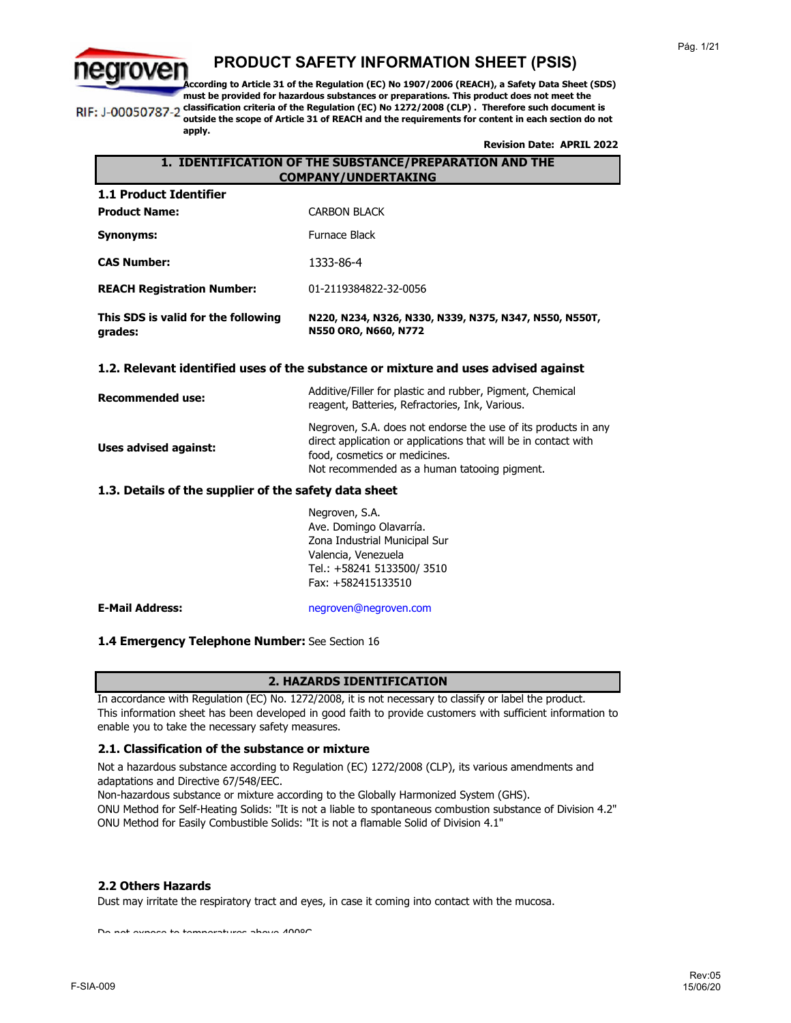

**apply.**

### **PRODUCT SAFETY INFORMATION SHEET (PSIS)**

**According to Article 31 of the Regulation (EC) No 1907/2006 (REACH), a Safety Data Sheet (SDS) must be provided for hazardous substances or preparations. This product does not meet the classification criteria of the Regulation (EC) No 1272/2008 (CLP) . Therefore such document is**  RIF: J-00050787-2 **outside the scope of Article 31 of REACH and the requirements for content in each section do not** 

**Revision Date: APRIL 2022**

### **1. IDENTIFICATION OF THE SUBSTANCE/PREPARATION AND THE COMPANY/UNDERTAKING**

| This SDS is valid for the following<br>grades: | N220, N234, N326, N330, N339, N375, N347, N550, N550T,<br>N550 ORO, N660, N772 |
|------------------------------------------------|--------------------------------------------------------------------------------|
| <b>REACH Registration Number:</b>              | 01-2119384822-32-0056                                                          |
| <b>CAS Number:</b>                             | 1333-86-4                                                                      |
| Synonyms:                                      | Furnace Black                                                                  |
| <b>Product Name:</b>                           | <b>CARBON BLACK</b>                                                            |
| 1.1 Product Identifier                         |                                                                                |

### **1.2. Relevant identified uses of the substance or mixture and uses advised against**

| <b>Recommended use:</b> | Additive/Filler for plastic and rubber, Pigment, Chemical<br>reagent, Batteries, Refractories, Ink, Various.                                                                                                       |
|-------------------------|--------------------------------------------------------------------------------------------------------------------------------------------------------------------------------------------------------------------|
| Uses advised against:   | Negroven, S.A. does not endorse the use of its products in any<br>direct application or applications that will be in contact with<br>food, cosmetics or medicines.<br>Not recommended as a human tatooing pigment. |

### **1.3. Details of the supplier of the safety data sheet**

Negroven, S.A. Ave. Domingo Olavarría. Zona Industrial Municipal Sur Valencia, Venezuela Tel.: +58241 5133500/ 3510 Fax: +582415133510

**E-Mail Address:** negroven@negroven.com

### **1.4 Emergency Telephone Number:** See Section 16

### **2. HAZARDS IDENTIFICATION**

In accordance with Regulation (EC) No. 1272/2008, it is not necessary to classify or label the product. This information sheet has been developed in good faith to provide customers with sufficient information to enable you to take the necessary safety measures.

### **2.1. Classification of the substance or mixture**

Not a hazardous substance according to Regulation (EC) 1272/2008 (CLP), its various amendments and adaptations and Directive 67/548/EEC.

Non-hazardous substance or mixture according to the Globally Harmonized System (GHS).

ONU Method for Self-Heating Solids: "It is not a liable to spontaneous combustion substance of Division 4.2" ONU Method for Easily Combustible Solids: "It is not a flamable Solid of Division 4.1"

### **2.2 Others Hazards**

Dust may irritate the respiratory tract and eyes, in case it coming into contact with the mucosa.

Do not expose to temperatures above 400°C.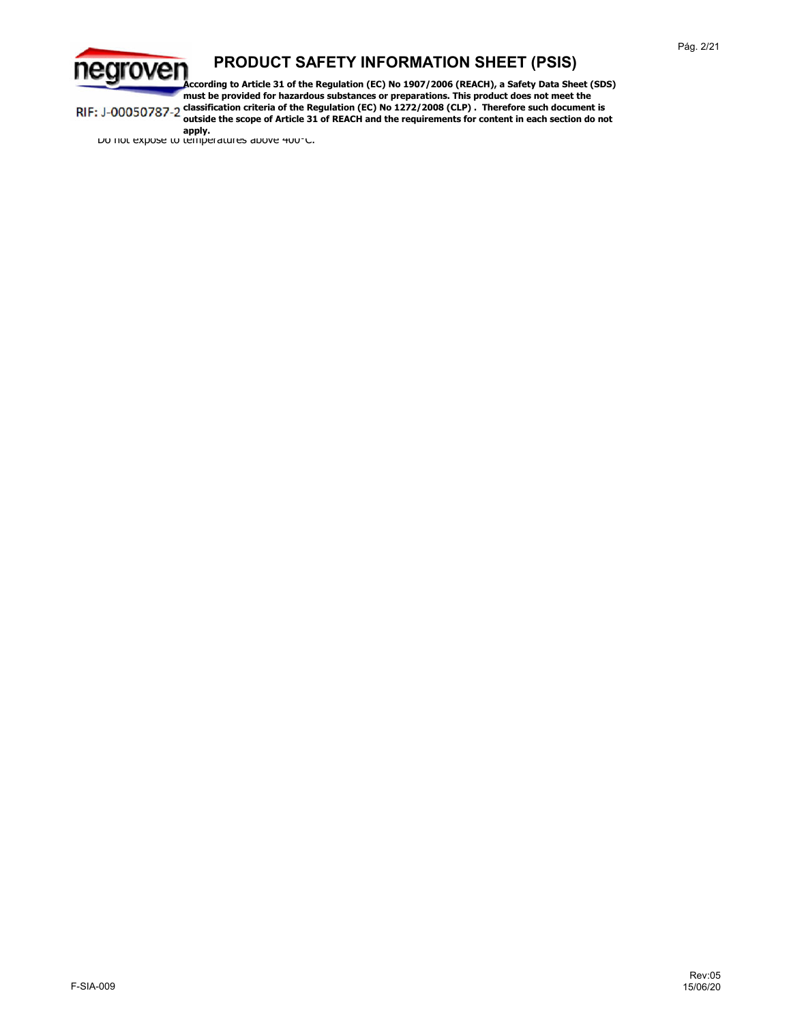

**According to Article 31 of the Regulation (EC) No 1907/2006 (REACH), a Safety Data Sheet (SDS) must be provided for hazardous substances or preparations. This product does not meet the classification criteria of the Regulation (EC) No 1272/2008 (CLP) . Therefore such document is**  RIF: J-00050787-2 **outside the scope of Article 31 of REACH and the requirements for content in each section do not** 

**apply.**<br>Do not expose to temperatures above <del>4</del>00°C.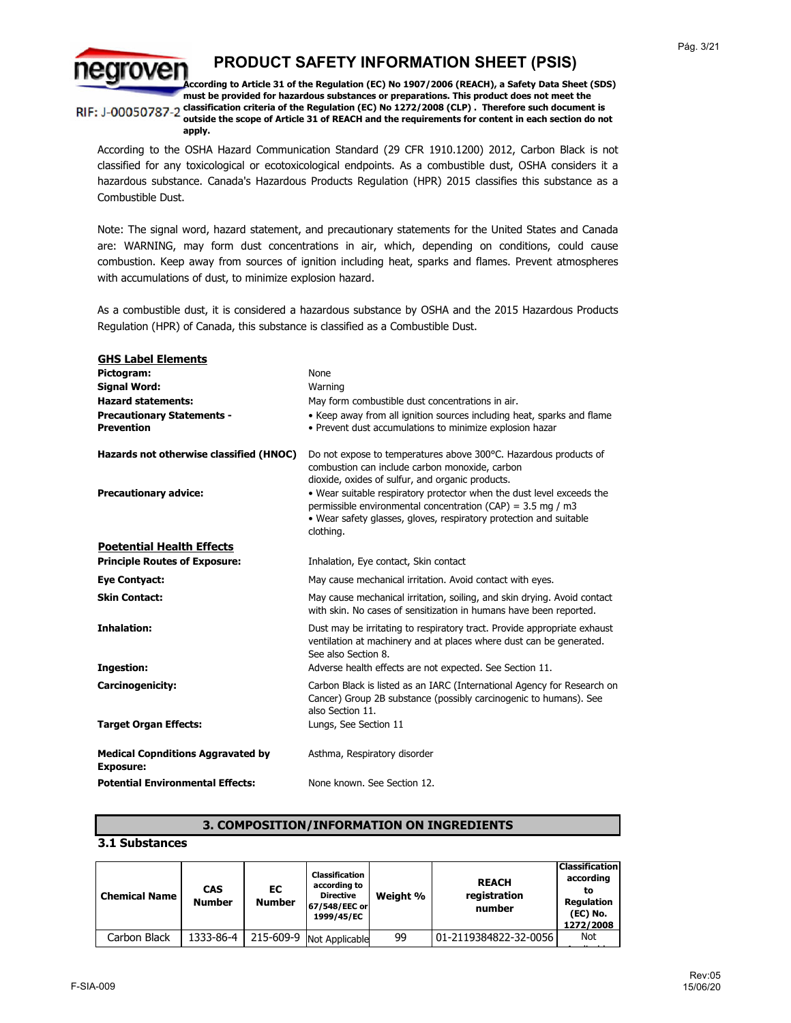

**According to Article 31 of the Regulation (EC) No 1907/2006 (REACH), a Safety Data Sheet (SDS) must be provided for hazardous substances or preparations. This product does not meet the**  RIF: J-00050787-2 classification criteria of the Regulation (EC) No 1272/2008 (CLP) . Therefore such document is **outside the scope of Article 31 of REACH and the requirements for content in each section do not** 

**apply.**

According to the OSHA Hazard Communication Standard (29 CFR 1910.1200) 2012, Carbon Black is not classified for any toxicological or ecotoxicological endpoints. As a combustible dust, OSHA considers it a hazardous substance. Canada's Hazardous Products Regulation (HPR) 2015 classifies this substance as a Combustible Dust.

Note: The signal word, hazard statement, and precautionary statements for the United States and Canada are: WARNING, may form dust concentrations in air, which, depending on conditions, could cause combustion. Keep away from sources of ignition including heat, sparks and flames. Prevent atmospheres with accumulations of dust, to minimize explosion hazard.

As a combustible dust, it is considered a hazardous substance by OSHA and the 2015 Hazardous Products Regulation (HPR) of Canada, this substance is classified as a Combustible Dust.

| <b>GHS Label Elements</b><br>Pictogram:<br><b>Signal Word:</b><br><b>Hazard statements:</b><br><b>Precautionary Statements -</b><br><b>Prevention</b> | <b>None</b><br>Warning<br>May form combustible dust concentrations in air.<br>• Keep away from all ignition sources including heat, sparks and flame<br>• Prevent dust accumulations to minimize explosion hazar                                                                                                                                                                                    |
|-------------------------------------------------------------------------------------------------------------------------------------------------------|-----------------------------------------------------------------------------------------------------------------------------------------------------------------------------------------------------------------------------------------------------------------------------------------------------------------------------------------------------------------------------------------------------|
| Hazards not otherwise classified (HNOC)<br><b>Precautionary advice:</b>                                                                               | Do not expose to temperatures above 300°C. Hazardous products of<br>combustion can include carbon monoxide, carbon<br>dioxide, oxides of sulfur, and organic products.<br>. Wear suitable respiratory protector when the dust level exceeds the<br>permissible environmental concentration (CAP) = $3.5$ mg / m3<br>• Wear safety glasses, gloves, respiratory protection and suitable<br>clothing. |
| <b>Poetential Health Effects</b>                                                                                                                      |                                                                                                                                                                                                                                                                                                                                                                                                     |
| <b>Principle Routes of Exposure:</b>                                                                                                                  | Inhalation, Eye contact, Skin contact                                                                                                                                                                                                                                                                                                                                                               |
| <b>Eye Contyact:</b>                                                                                                                                  | May cause mechanical irritation. Avoid contact with eves.                                                                                                                                                                                                                                                                                                                                           |
| <b>Skin Contact:</b>                                                                                                                                  | May cause mechanical irritation, soiling, and skin drying. Avoid contact<br>with skin. No cases of sensitization in humans have been reported.                                                                                                                                                                                                                                                      |
| <b>Inhalation:</b>                                                                                                                                    | Dust may be irritating to respiratory tract. Provide appropriate exhaust<br>ventilation at machinery and at places where dust can be generated.<br>See also Section 8.                                                                                                                                                                                                                              |
| <b>Ingestion:</b>                                                                                                                                     | Adverse health effects are not expected. See Section 11.                                                                                                                                                                                                                                                                                                                                            |
| Carcinogenicity:                                                                                                                                      | Carbon Black is listed as an IARC (International Agency for Research on<br>Cancer) Group 2B substance (possibly carcinogenic to humans). See<br>also Section 11.                                                                                                                                                                                                                                    |
| <b>Target Organ Effects:</b>                                                                                                                          | Lungs, See Section 11                                                                                                                                                                                                                                                                                                                                                                               |
| <b>Medical Copnditions Aggravated by</b><br><b>Exposure:</b>                                                                                          | Asthma, Respiratory disorder                                                                                                                                                                                                                                                                                                                                                                        |
| <b>Potential Environmental Effects:</b>                                                                                                               | None known. See Section 12.                                                                                                                                                                                                                                                                                                                                                                         |

### **3. COMPOSITION/INFORMATION ON INGREDIENTS**

### **3.1 Substances**

| <b>Chemical Name</b> | <b>CAS</b><br><b>Number</b> | EC<br><b>Number</b> | <b>Classification</b><br>according to<br><b>Directive</b><br>67/548/EEC or<br>1999/45/EC | Weight % | <b>REACH</b><br>registration<br>number | <b>Classification</b><br>according<br>to<br><b>Regulation</b><br>(EC) No.<br>1272/2008 |
|----------------------|-----------------------------|---------------------|------------------------------------------------------------------------------------------|----------|----------------------------------------|----------------------------------------------------------------------------------------|
| Carbon Black         | 1333-86-4                   |                     | 215-609-9 Not Applicable                                                                 | 99       | 01-2119384822-32-0056                  | Not                                                                                    |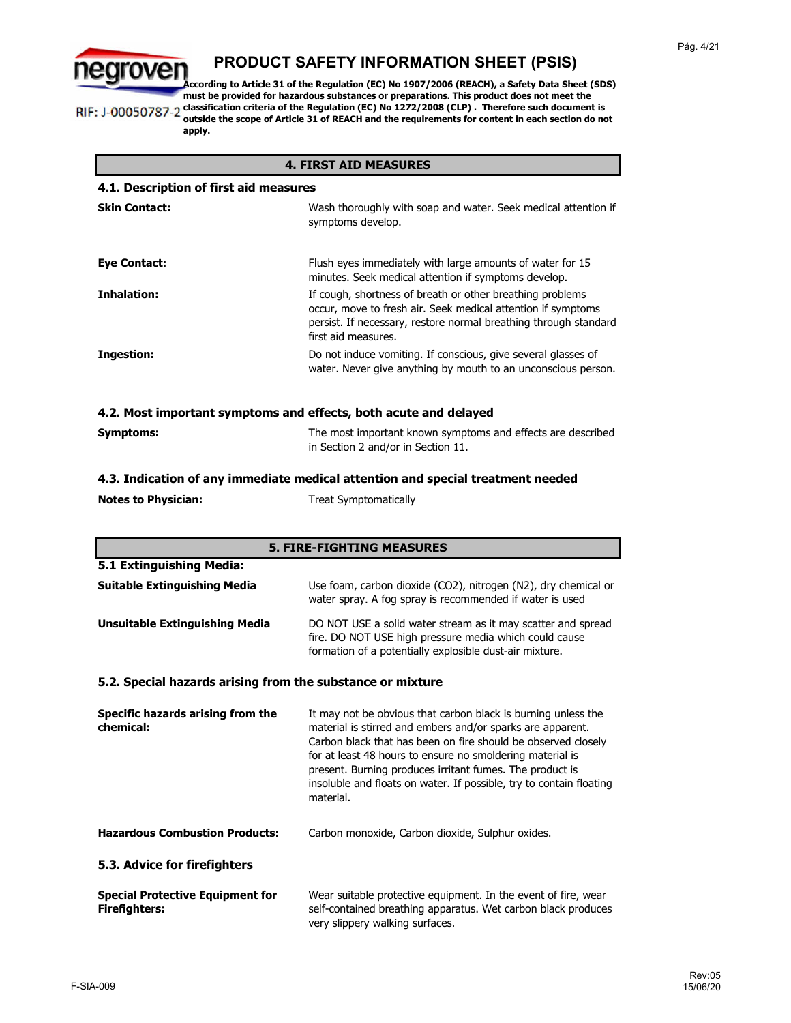

**According to Article 31 of the Regulation (EC) No 1907/2006 (REACH), a Safety Data Sheet (SDS) must be provided for hazardous substances or preparations. This product does not meet the**  RIF: J-00050787-2 classification criteria of the Regulation (EC) No 1272/2008 (CLP) . Therefore such document is **outside the scope of Article 31 of REACH and the requirements for content in each section do not apply.**

| <b>4. FIRST AID MEASURES</b>                                     |                                                                                                                                                                                                                      |  |
|------------------------------------------------------------------|----------------------------------------------------------------------------------------------------------------------------------------------------------------------------------------------------------------------|--|
| 4.1. Description of first aid measures                           |                                                                                                                                                                                                                      |  |
| <b>Skin Contact:</b>                                             | Wash thoroughly with soap and water. Seek medical attention if<br>symptoms develop.                                                                                                                                  |  |
| <b>Eye Contact:</b>                                              | Flush eyes immediately with large amounts of water for 15<br>minutes. Seek medical attention if symptoms develop.                                                                                                    |  |
| Inhalation:                                                      | If cough, shortness of breath or other breathing problems<br>occur, move to fresh air. Seek medical attention if symptoms<br>persist. If necessary, restore normal breathing through standard<br>first aid measures. |  |
| Ingestion:                                                       | Do not induce vomiting. If conscious, give several glasses of<br>water. Never give anything by mouth to an unconscious person.                                                                                       |  |
| 4.2. Most important symptoms and effects, both acute and delayed |                                                                                                                                                                                                                      |  |

| Symptoms: | The most important known symptoms and effects are described |
|-----------|-------------------------------------------------------------|
|           | in Section 2 and/or in Section 11.                          |

#### Treat Symptomatically **4.3. Indication of any immediate medical attention and special treatment needed Notes to Physician:**

| <b>5. FIRE-FIGHTING MEASURES</b>                                |                                                                                                                                                                                                                                                                                                                                                                                                           |  |
|-----------------------------------------------------------------|-----------------------------------------------------------------------------------------------------------------------------------------------------------------------------------------------------------------------------------------------------------------------------------------------------------------------------------------------------------------------------------------------------------|--|
| 5.1 Extinguishing Media:                                        |                                                                                                                                                                                                                                                                                                                                                                                                           |  |
| <b>Suitable Extinguishing Media</b>                             | Use foam, carbon dioxide (CO2), nitrogen (N2), dry chemical or<br>water spray. A fog spray is recommended if water is used                                                                                                                                                                                                                                                                                |  |
| <b>Unsuitable Extinguishing Media</b>                           | DO NOT USE a solid water stream as it may scatter and spread<br>fire. DO NOT USE high pressure media which could cause<br>formation of a potentially explosible dust-air mixture.                                                                                                                                                                                                                         |  |
| 5.2. Special hazards arising from the substance or mixture      |                                                                                                                                                                                                                                                                                                                                                                                                           |  |
| Specific hazards arising from the<br>chemical:                  | It may not be obvious that carbon black is burning unless the<br>material is stirred and embers and/or sparks are apparent.<br>Carbon black that has been on fire should be observed closely<br>for at least 48 hours to ensure no smoldering material is<br>present. Burning produces irritant fumes. The product is<br>insoluble and floats on water. If possible, try to contain floating<br>material. |  |
| <b>Hazardous Combustion Products:</b>                           | Carbon monoxide, Carbon dioxide, Sulphur oxides.                                                                                                                                                                                                                                                                                                                                                          |  |
| 5.3. Advice for firefighters                                    |                                                                                                                                                                                                                                                                                                                                                                                                           |  |
| <b>Special Protective Equipment for</b><br><b>Firefighters:</b> | Wear suitable protective equipment. In the event of fire, wear<br>self-contained breathing apparatus. Wet carbon black produces<br>very slippery walking surfaces.                                                                                                                                                                                                                                        |  |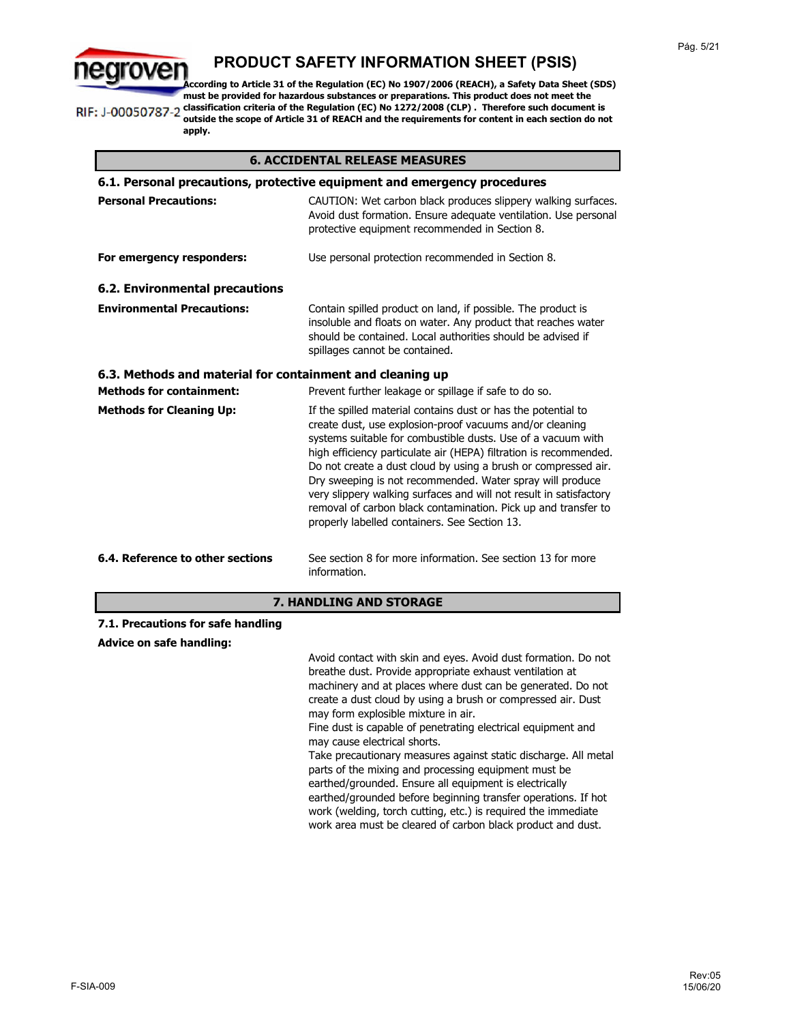

**According to Article 31 of the Regulation (EC) No 1907/2006 (REACH), a Safety Data Sheet (SDS) must be provided for hazardous substances or preparations. This product does not meet the classification criteria of the Regulation (EC) No 1272/2008 (CLP) . Therefore such document is**  RIF: J-00050787-2

**outside the scope of Article 31 of REACH and the requirements for content in each section do not apply.**

### **6. ACCIDENTAL RELEASE MEASURES**

| 6.1. Personal precautions, protective equipment and emergency procedures |                                                                                                                                                                                                                                                                                                                                                                                                                                                                                                                                                                                                                                                                                                                                                                                        |  |
|--------------------------------------------------------------------------|----------------------------------------------------------------------------------------------------------------------------------------------------------------------------------------------------------------------------------------------------------------------------------------------------------------------------------------------------------------------------------------------------------------------------------------------------------------------------------------------------------------------------------------------------------------------------------------------------------------------------------------------------------------------------------------------------------------------------------------------------------------------------------------|--|
| <b>Personal Precautions:</b>                                             | CAUTION: Wet carbon black produces slippery walking surfaces.<br>Avoid dust formation. Ensure adequate ventilation. Use personal<br>protective equipment recommended in Section 8.                                                                                                                                                                                                                                                                                                                                                                                                                                                                                                                                                                                                     |  |
| For emergency responders:                                                | Use personal protection recommended in Section 8.                                                                                                                                                                                                                                                                                                                                                                                                                                                                                                                                                                                                                                                                                                                                      |  |
| <b>6.2. Environmental precautions</b>                                    |                                                                                                                                                                                                                                                                                                                                                                                                                                                                                                                                                                                                                                                                                                                                                                                        |  |
| <b>Environmental Precautions:</b>                                        | Contain spilled product on land, if possible. The product is<br>insoluble and floats on water. Any product that reaches water<br>should be contained. Local authorities should be advised if<br>spillages cannot be contained.                                                                                                                                                                                                                                                                                                                                                                                                                                                                                                                                                         |  |
| 6.3. Methods and material for containment and cleaning up                |                                                                                                                                                                                                                                                                                                                                                                                                                                                                                                                                                                                                                                                                                                                                                                                        |  |
| <b>Methods for containment:</b>                                          | Prevent further leakage or spillage if safe to do so.                                                                                                                                                                                                                                                                                                                                                                                                                                                                                                                                                                                                                                                                                                                                  |  |
| <b>Methods for Cleaning Up:</b>                                          | If the spilled material contains dust or has the potential to<br>create dust, use explosion-proof vacuums and/or cleaning<br>systems suitable for combustible dusts. Use of a vacuum with<br>high efficiency particulate air (HEPA) filtration is recommended.<br>Do not create a dust cloud by using a brush or compressed air.<br>Dry sweeping is not recommended. Water spray will produce<br>very slippery walking surfaces and will not result in satisfactory<br>removal of carbon black contamination. Pick up and transfer to<br>properly labelled containers. See Section 13.                                                                                                                                                                                                 |  |
| 6.4. Reference to other sections                                         | See section 8 for more information. See section 13 for more<br>information.                                                                                                                                                                                                                                                                                                                                                                                                                                                                                                                                                                                                                                                                                                            |  |
| <b>7. HANDLING AND STORAGE</b>                                           |                                                                                                                                                                                                                                                                                                                                                                                                                                                                                                                                                                                                                                                                                                                                                                                        |  |
| 7.1. Precautions for safe handling                                       |                                                                                                                                                                                                                                                                                                                                                                                                                                                                                                                                                                                                                                                                                                                                                                                        |  |
| <b>Advice on safe handling:</b>                                          |                                                                                                                                                                                                                                                                                                                                                                                                                                                                                                                                                                                                                                                                                                                                                                                        |  |
|                                                                          | Avoid contact with skin and eyes. Avoid dust formation. Do not<br>breathe dust. Provide appropriate exhaust ventilation at<br>machinery and at places where dust can be generated. Do not<br>create a dust cloud by using a brush or compressed air. Dust<br>may form explosible mixture in air.<br>Fine dust is capable of penetrating electrical equipment and<br>may cause electrical shorts.<br>Take precautionary measures against static discharge. All metal<br>parts of the mixing and processing equipment must be<br>earthed/grounded. Ensure all equipment is electrically<br>earthed/grounded before beginning transfer operations. If hot<br>work (welding, torch cutting, etc.) is required the immediate<br>work area must be cleared of carbon black product and dust. |  |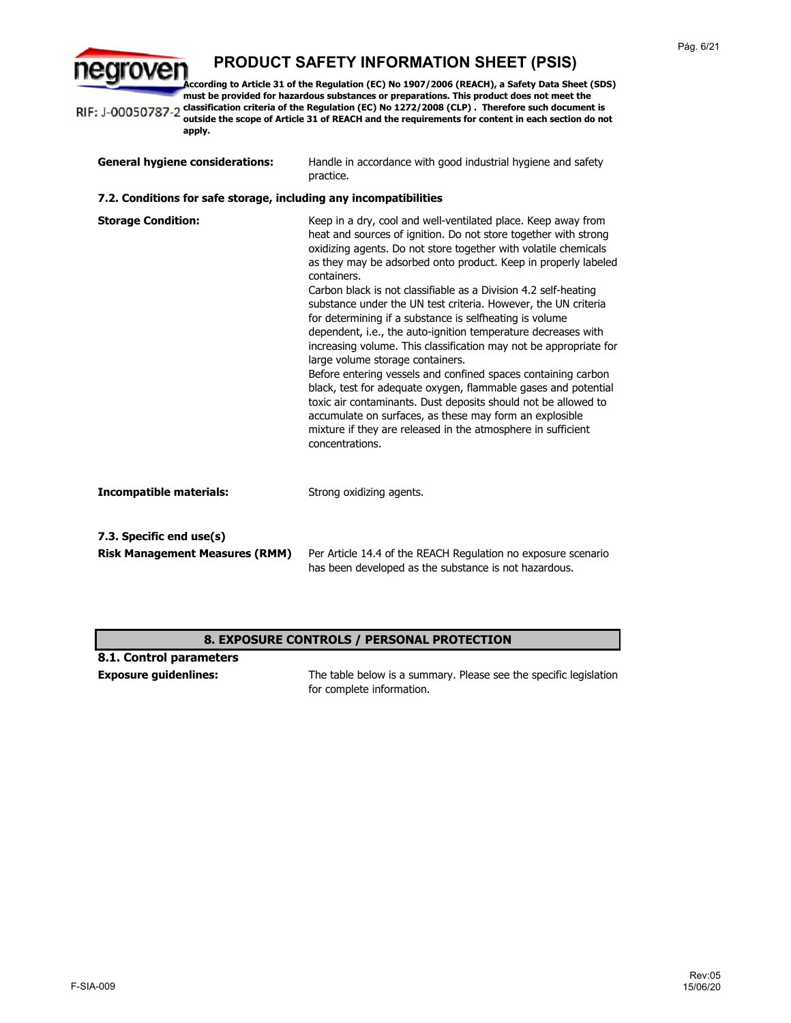egroven **According to Article 31 of the Regulation (EC) No 1907/2006 (REACH), a Safety Data Sheet (SDS) must be provided for hazardous substances or preparations. This product does not meet the**  RIF: J-00050787-2 classification criteria of the Regulation (EC) No 1272/2008 (CLP) . Therefore such document is **outside the scope of Article 31 of REACH and the requirements for content in each section do not apply.**

| <b>General hygiene considerations:</b>                            | Handle in accordance with good industrial hygiene and safety<br>practice.                                                                                                                                                                                                                                                                                                                                                                                                                                                                                                                                                                                                                                                                                                                                                                                                                                                                                                                                         |
|-------------------------------------------------------------------|-------------------------------------------------------------------------------------------------------------------------------------------------------------------------------------------------------------------------------------------------------------------------------------------------------------------------------------------------------------------------------------------------------------------------------------------------------------------------------------------------------------------------------------------------------------------------------------------------------------------------------------------------------------------------------------------------------------------------------------------------------------------------------------------------------------------------------------------------------------------------------------------------------------------------------------------------------------------------------------------------------------------|
| 7.2. Conditions for safe storage, including any incompatibilities |                                                                                                                                                                                                                                                                                                                                                                                                                                                                                                                                                                                                                                                                                                                                                                                                                                                                                                                                                                                                                   |
| <b>Storage Condition:</b>                                         | Keep in a dry, cool and well-ventilated place. Keep away from<br>heat and sources of ignition. Do not store together with strong<br>oxidizing agents. Do not store together with volatile chemicals<br>as they may be adsorbed onto product. Keep in properly labeled<br>containers.<br>Carbon black is not classifiable as a Division 4.2 self-heating<br>substance under the UN test criteria. However, the UN criteria<br>for determining if a substance is selfheating is volume<br>dependent, i.e., the auto-ignition temperature decreases with<br>increasing volume. This classification may not be appropriate for<br>large volume storage containers.<br>Before entering vessels and confined spaces containing carbon<br>black, test for adequate oxygen, flammable gases and potential<br>toxic air contaminants. Dust deposits should not be allowed to<br>accumulate on surfaces, as these may form an explosible<br>mixture if they are released in the atmosphere in sufficient<br>concentrations. |
| <b>Incompatible materials:</b>                                    | Strong oxidizing agents.                                                                                                                                                                                                                                                                                                                                                                                                                                                                                                                                                                                                                                                                                                                                                                                                                                                                                                                                                                                          |
| 7.3. Specific end use(s)                                          |                                                                                                                                                                                                                                                                                                                                                                                                                                                                                                                                                                                                                                                                                                                                                                                                                                                                                                                                                                                                                   |
| <b>Risk Management Measures (RMM)</b>                             | Per Article 14.4 of the REACH Regulation no exposure scenario<br>has been developed as the substance is not hazardous.                                                                                                                                                                                                                                                                                                                                                                                                                                                                                                                                                                                                                                                                                                                                                                                                                                                                                            |

### **8. EXPOSURE CONTROLS / PERSONAL PROTECTION**

| 8.1. Control parameters      |                                                                   |
|------------------------------|-------------------------------------------------------------------|
| <b>Exposure quidenlines:</b> | The table below is a summary. Please see the specific legislation |
|                              | for complete information.                                         |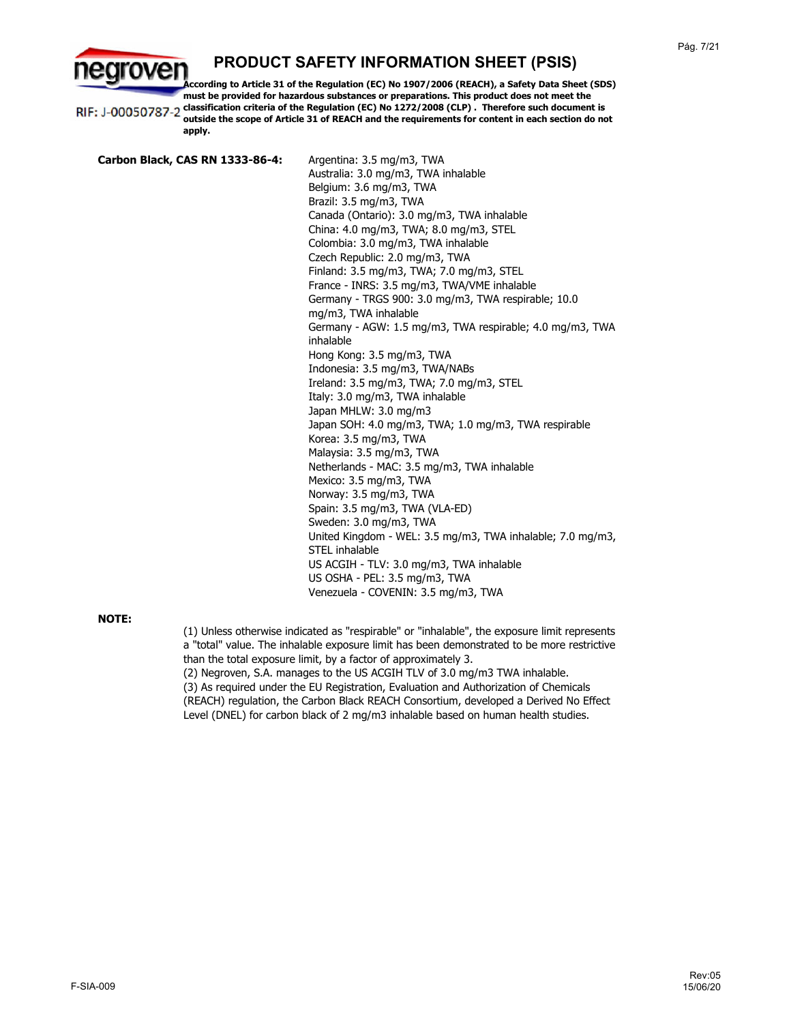**According to Article 31 of the Regulation (EC) No 1907/2006 (REACH), a Safety Data Sheet (SDS) must be provided for hazardous substances or preparations. This product does not meet the classification criteria of the Regulation (EC) No 1272/2008 (CLP) . Therefore such document is**  RIF: J-00050787-2 **outside the scope of Article 31 of REACH and the requirements for content in each section do not apply.**

**Carbon Black, CAS RN 1333-86-4:** Argentina: 3.5 mg/m3, TWA Australia: 3.0 mg/m3, TWA inhalable Belgium: 3.6 mg/m3, TWA Brazil: 3.5 mg/m3, TWA Canada (Ontario): 3.0 mg/m3, TWA inhalable China: 4.0 mg/m3, TWA; 8.0 mg/m3, STEL Colombia: 3.0 mg/m3, TWA inhalable Czech Republic: 2.0 mg/m3, TWA Finland: 3.5 mg/m3, TWA; 7.0 mg/m3, STEL France - INRS: 3.5 mg/m3, TWA/VME inhalable Germany - TRGS 900: 3.0 mg/m3, TWA respirable; 10.0 mg/m3, TWA inhalable Germany - AGW: 1.5 mg/m3, TWA respirable; 4.0 mg/m3, TWA inhalable Hong Kong: 3.5 mg/m3, TWA Indonesia: 3.5 mg/m3, TWA/NABs Ireland: 3.5 mg/m3, TWA; 7.0 mg/m3, STEL Italy: 3.0 mg/m3, TWA inhalable Japan MHLW: 3.0 mg/m3 Japan SOH: 4.0 mg/m3, TWA; 1.0 mg/m3, TWA respirable Korea: 3.5 mg/m3, TWA Malaysia: 3.5 mg/m3, TWA Netherlands - MAC: 3.5 mg/m3, TWA inhalable Mexico: 3.5 mg/m3, TWA Norway: 3.5 mg/m3, TWA Spain: 3.5 mg/m3, TWA (VLA-ED) Sweden: 3.0 mg/m3, TWA United Kingdom - WEL: 3.5 mg/m3, TWA inhalable; 7.0 mg/m3, STEL inhalable US ACGIH - TLV: 3.0 mg/m3, TWA inhalable US OSHA - PEL: 3.5 mg/m3, TWA Venezuela - COVENIN: 3.5 mg/m3, TWA

### **NOTE:**

arover

(1) Unless otherwise indicated as "respirable" or "inhalable", the exposure limit represents a "total" value. The inhalable exposure limit has been demonstrated to be more restrictive than the total exposure limit, by a factor of approximately 3. (2) Negroven, S.A. manages to the US ACGIH TLV of 3.0 mg/m3 TWA inhalable. (3) As required under the EU Registration, Evaluation and Authorization of Chemicals (REACH) regulation, the Carbon Black REACH Consortium, developed a Derived No Effect Level (DNEL) for carbon black of 2 mg/m3 inhalable based on human health studies.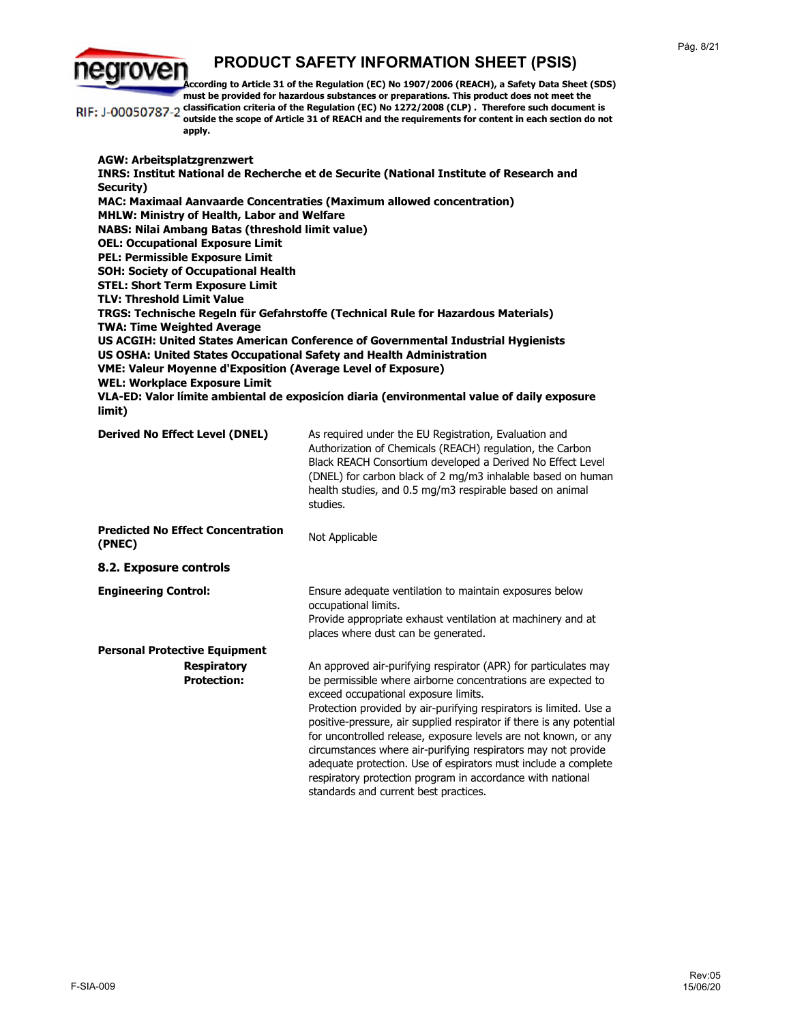rover

**According to Article 31 of the Regulation (EC) No 1907/2006 (REACH), a Safety Data Sheet (SDS) must be provided for hazardous substances or preparations. This product does not meet the classification criteria of the Regulation (EC) No 1272/2008 (CLP) . Therefore such document is**  RIF: J-00050787-2 **outside the scope of Article 31 of REACH and the requirements for content in each section do not apply. AGW: Arbeitsplatzgrenzwert INRS: Institut National de Recherche et de Securite (National Institute of Research and Security) MAC: Maximaal Aanvaarde Concentraties (Maximum allowed concentration) MHLW: Ministry of Health, Labor and Welfare NABS: Nilai Ambang Batas (threshold limit value) OEL: Occupational Exposure Limit PEL: Permissible Exposure Limit SOH: Society of Occupational Health STEL: Short Term Exposure Limit TLV: Threshold Limit Value TRGS: Technische Regeln für Gefahrstoffe (Technical Rule for Hazardous Materials) TWA: Time Weighted Average US ACGIH: United States American Conference of Governmental Industrial Hygienists US OSHA: United States Occupational Safety and Health Administration VME: Valeur Moyenne d'Exposition (Average Level of Exposure) WEL: Workplace Exposure Limit VLA-ED: Valor límite ambiental de exposicíon diaria (environmental value of daily exposure limit) Derived No Effect Level (DNEL)** As required under the EU Registration, Evaluation and Authorization of Chemicals (REACH) regulation, the Carbon Black REACH Consortium developed a Derived No Effect Level (DNEL) for carbon black of 2 mg/m3 inhalable based on human health studies, and 0.5 mg/m3 respirable based on animal studies. **Predicted No Effect Concentration Not Applicable (PNEC) 8.2. Exposure controls Engineering Control:** Ensure adequate ventilation to maintain exposures below occupational limits. Provide appropriate exhaust ventilation at machinery and at places where dust can be generated. **Personal Protective Equipment Respiratory**  An approved air-purifying respirator (APR) for particulates may **Protection:** be permissible where airborne concentrations are expected to exceed occupational exposure limits. Protection provided by air-purifying respirators is limited. Use a positive-pressure, air supplied respirator if there is any potential for uncontrolled release, exposure levels are not known, or any circumstances where air-purifying respirators may not provide adequate protection. Use of espirators must include a complete respiratory protection program in accordance with national standards and current best practices.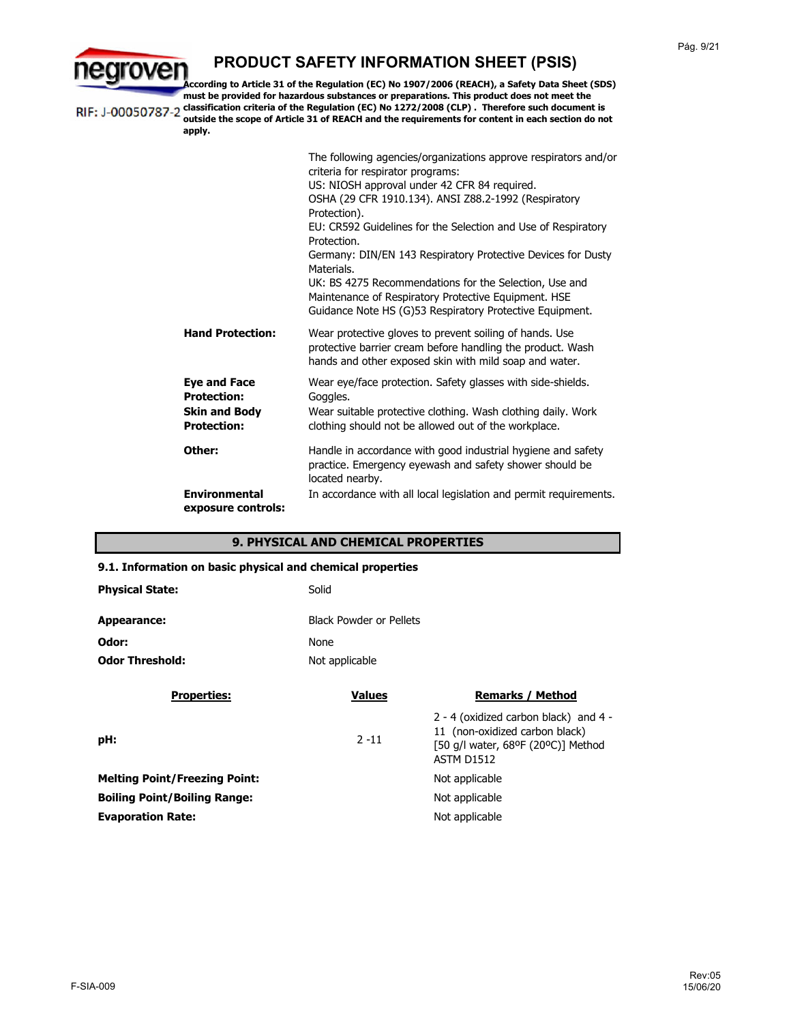

**According to Article 31 of the Regulation (EC) No 1907/2006 (REACH), a Safety Data Sheet (SDS) must be provided for hazardous substances or preparations. This product does not meet the classification criteria of the Regulation (EC) No 1272/2008 (CLP) . Therefore such document is**  RIF: J-00050787-2 **outside the scope of Article 31 of REACH and the requirements for content in each section do not** 

> **apply. Other:** Wear eye/face protection. Safety glasses with side-shields. Goggles. **Eye and Face Protection:** Handle in accordance with good industrial hygiene and safety practice. Emergency eyewash and safety shower should be located nearby. In accordance with all local legislation and permit requirements. **Skin and Body Protection: Environmental exposure controls:** The following agencies/organizations approve respirators and/or criteria for respirator programs: US: NIOSH approval under 42 CFR 84 required. OSHA (29 CFR 1910.134). ANSI Z88.2-1992 (Respiratory Protection). EU: CR592 Guidelines for the Selection and Use of Respiratory Protection. Germany: DIN/EN 143 Respiratory Protective Devices for Dusty Materials. UK: BS 4275 Recommendations for the Selection, Use and Maintenance of Respiratory Protective Equipment. HSE Guidance Note HS (G)53 Respiratory Protective Equipment. Wear suitable protective clothing. Wash clothing daily. Work clothing should not be allowed out of the workplace. Wear protective gloves to prevent soiling of hands. Use protective barrier cream before handling the product. Wash hands and other exposed skin with mild soap and water. **Hand Protection:**

### **9. PHYSICAL AND CHEMICAL PROPERTIES**

#### **9.1. Information on basic physical and chemical properties**

| <b>Physical State:</b> | Solid                          |
|------------------------|--------------------------------|
| Appearance:            | <b>Black Powder or Pellets</b> |
| Odor:                  | <b>None</b>                    |
| <b>Odor Threshold:</b> | Not applicable                 |

| <b>Values</b><br><b>Remarks / Method</b>                                                                                                         |
|--------------------------------------------------------------------------------------------------------------------------------------------------|
| 2 - 4 (oxidized carbon black) and $4 -$<br>11 (non-oxidized carbon black)<br>$2 - 11$<br>[50 g/l water, 68ºF (20°C)] Method<br><b>ASTM D1512</b> |
| Not applicable                                                                                                                                   |
| Not applicable                                                                                                                                   |
| Not applicable                                                                                                                                   |
|                                                                                                                                                  |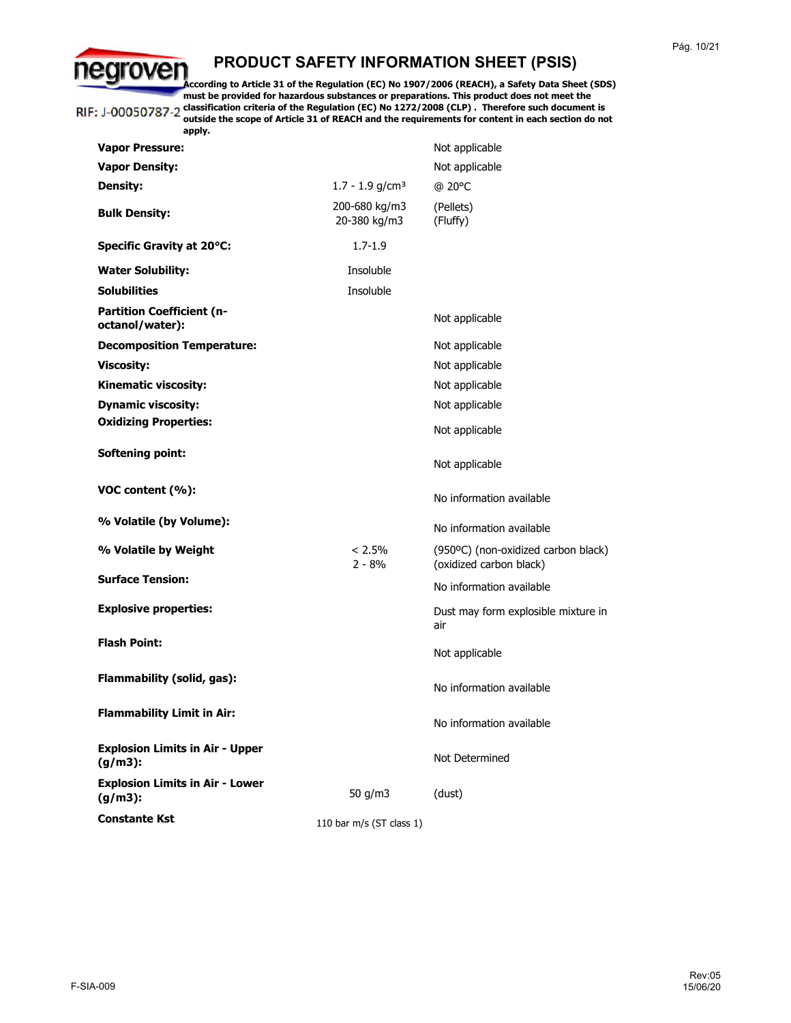egroven **According to Article 31 of the Regulation (EC) No 1907/2006 (REACH), a Safety Data Sheet (SDS) must be provided for hazardous substances or preparations. This product does not meet the classification criteria of the Regulation (EC) No 1272/2008 (CLP) . Therefore such document is**  RIF: J-00050787-2 **outside the scope of Article 31 of REACH and the requirements for content in each section do not** 

| apply.                                               |                               |                                                                |
|------------------------------------------------------|-------------------------------|----------------------------------------------------------------|
| <b>Vapor Pressure:</b>                               |                               | Not applicable                                                 |
| <b>Vapor Density:</b>                                |                               | Not applicable                                                 |
| <b>Density:</b>                                      | $1.7 - 1.9$ g/cm <sup>3</sup> | @ 20°C                                                         |
| <b>Bulk Density:</b>                                 | 200-680 kg/m3<br>20-380 kg/m3 | (Pellets)<br>(Fluffy)                                          |
| <b>Specific Gravity at 20°C:</b>                     | $1.7 - 1.9$                   |                                                                |
| <b>Water Solubility:</b>                             | Insoluble                     |                                                                |
| <b>Solubilities</b>                                  | Insoluble                     |                                                                |
| <b>Partition Coefficient (n-</b><br>octanol/water):  |                               | Not applicable                                                 |
| <b>Decomposition Temperature:</b>                    |                               | Not applicable                                                 |
| <b>Viscosity:</b>                                    |                               | Not applicable                                                 |
| <b>Kinematic viscosity:</b>                          |                               | Not applicable                                                 |
| <b>Dynamic viscosity:</b>                            |                               | Not applicable                                                 |
| <b>Oxidizing Properties:</b>                         |                               | Not applicable                                                 |
| <b>Softening point:</b>                              |                               | Not applicable                                                 |
| VOC content (%):                                     |                               | No information available                                       |
| % Volatile (by Volume):                              |                               | No information available                                       |
| % Volatile by Weight                                 | $< 2.5\%$<br>$2 - 8%$         | (950°C) (non-oxidized carbon black)<br>(oxidized carbon black) |
| <b>Surface Tension:</b>                              |                               | No information available                                       |
| <b>Explosive properties:</b>                         |                               | Dust may form explosible mixture in<br>air                     |
| <b>Flash Point:</b>                                  |                               | Not applicable                                                 |
| Flammability (solid, gas):                           |                               | No information available                                       |
| <b>Flammability Limit in Air:</b>                    |                               | No information available                                       |
| <b>Explosion Limits in Air - Upper</b><br>$(g/m3)$ : |                               | Not Determined                                                 |
| <b>Explosion Limits in Air - Lower</b><br>$(g/m3)$ : | 50 g/m3                       | (dust)                                                         |
| <b>Constante Kst</b>                                 | 110 bar m/s (ST class 1)      |                                                                |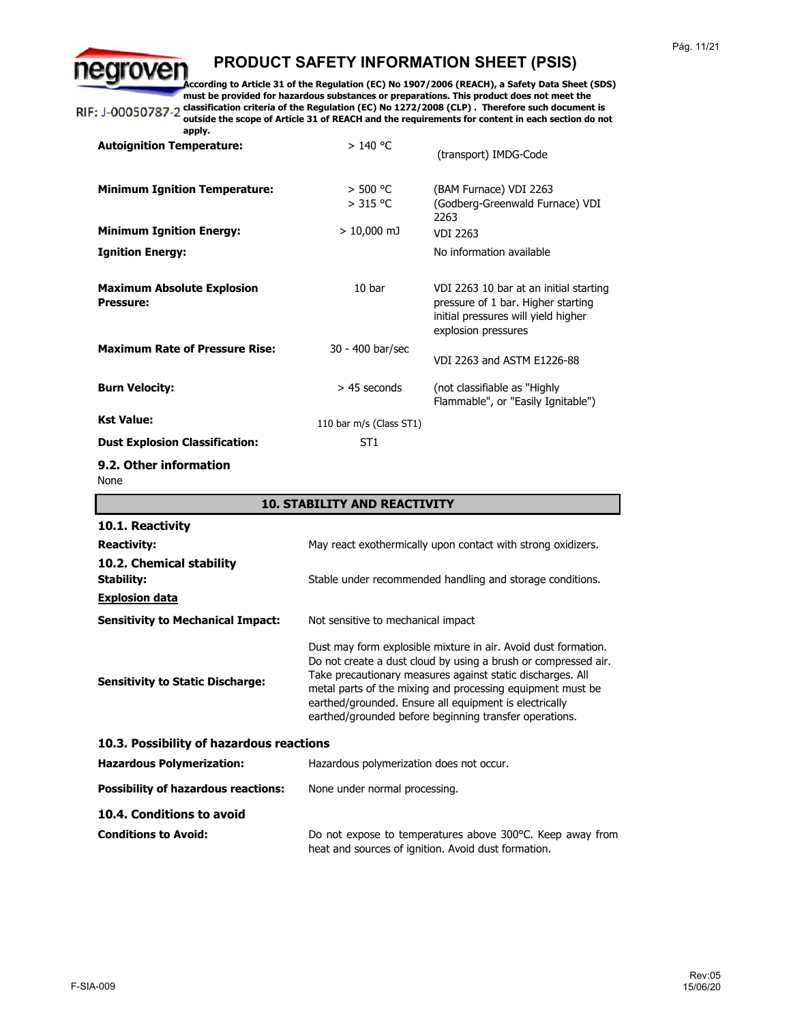earoven **According to Article 31 of the Regulation (EC) No 1907/2006 (REACH), a Safety Data Sheet (SDS) must be provided for hazardous substances or preparations. This product does not meet the**  RIF: J-00050787-2 classification criteria of the Regulation (EC) No 1272/2008 (CLP). Therefore such document is **outside the scope of Article 31 of REACH and the requirements for content in each section do not** 

**apply.**

| >140 °C                  | (transport) IMDG-Code                                                                                                                      |
|--------------------------|--------------------------------------------------------------------------------------------------------------------------------------------|
| $>$ 500 °C<br>$>$ 315 °C | (BAM Furnace) VDI 2263<br>(Godberg-Greenwald Furnace) VDI<br>2263                                                                          |
| $> 10,000$ mJ            | <b>VDI 2263</b>                                                                                                                            |
|                          | No information available                                                                                                                   |
| 10 <sub>bar</sub>        | VDI 2263 10 bar at an initial starting<br>pressure of 1 bar. Higher starting<br>initial pressures will yield higher<br>explosion pressures |
| 30 - 400 bar/sec         | VDI 2263 and ASTM E1226-88                                                                                                                 |
| $>$ 45 seconds           | (not classifiable as "Highly")<br>Flammable", or "Easily Ignitable")                                                                       |
| 110 bar m/s (Class ST1)  |                                                                                                                                            |
| ST <sub>1</sub>          |                                                                                                                                            |
|                          |                                                                                                                                            |

**9.2. Other information** None

| <b>10. STABILITY AND REACTIVITY</b>        |                                                                                                                                                                                                                                                                                                                                                                                  |  |
|--------------------------------------------|----------------------------------------------------------------------------------------------------------------------------------------------------------------------------------------------------------------------------------------------------------------------------------------------------------------------------------------------------------------------------------|--|
| 10.1. Reactivity                           |                                                                                                                                                                                                                                                                                                                                                                                  |  |
| <b>Reactivity:</b>                         | May react exothermically upon contact with strong oxidizers.                                                                                                                                                                                                                                                                                                                     |  |
| 10.2. Chemical stability<br>Stability:     | Stable under recommended handling and storage conditions.                                                                                                                                                                                                                                                                                                                        |  |
| <b>Explosion data</b>                      |                                                                                                                                                                                                                                                                                                                                                                                  |  |
| <b>Sensitivity to Mechanical Impact:</b>   | Not sensitive to mechanical impact                                                                                                                                                                                                                                                                                                                                               |  |
| <b>Sensitivity to Static Discharge:</b>    | Dust may form explosible mixture in air. Avoid dust formation.<br>Do not create a dust cloud by using a brush or compressed air.<br>Take precautionary measures against static discharges. All<br>metal parts of the mixing and processing equipment must be<br>earthed/grounded. Ensure all equipment is electrically<br>earthed/grounded before beginning transfer operations. |  |
| 10.3. Possibility of hazardous reactions   |                                                                                                                                                                                                                                                                                                                                                                                  |  |
| <b>Hazardous Polymerization:</b>           | Hazardous polymerization does not occur.                                                                                                                                                                                                                                                                                                                                         |  |
| <b>Possibility of hazardous reactions:</b> | None under normal processing.                                                                                                                                                                                                                                                                                                                                                    |  |
| 10.4. Conditions to avoid                  |                                                                                                                                                                                                                                                                                                                                                                                  |  |
| <b>Conditions to Avoid:</b>                | Do not expose to temperatures above 300°C. Keep away from<br>heat and sources of ignition. Avoid dust formation.                                                                                                                                                                                                                                                                 |  |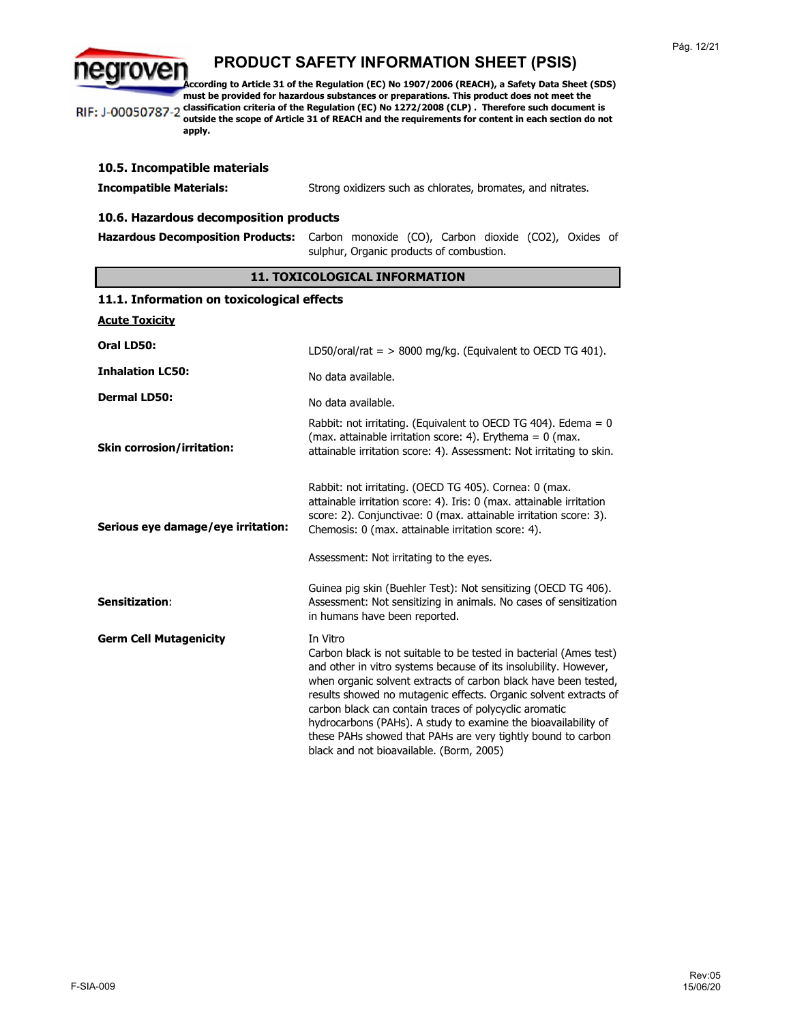egroven **According to Article 31 of the Regulation (EC) No 1907/2006 (REACH), a Safety Data Sheet (SDS) must be provided for hazardous substances or preparations. This product does not meet the classification criteria of the Regulation (EC) No 1272/2008 (CLP) . Therefore such document is**  RIF: J-00050787-2

**outside the scope of Article 31 of REACH and the requirements for content in each section do not apply.**

| 10.5. Incompatible materials           |                                                                                                                                     |  |
|----------------------------------------|-------------------------------------------------------------------------------------------------------------------------------------|--|
| <b>Incompatible Materials:</b>         | Strong oxidizers such as chlorates, bromates, and nitrates.                                                                         |  |
| 10.6. Hazardous decomposition products |                                                                                                                                     |  |
|                                        | Hazardous Decomposition Products: Carbon monoxide (CO), Carbon dioxide (CO2), Oxides of<br>sulphur, Organic products of combustion. |  |

### **11. TOXICOLOGICAL INFORMATION**

| 11.1. Information on toxicological effects |                                                                                                                                                                                                                                                                                                                                                                                                                                                                                                                                   |
|--------------------------------------------|-----------------------------------------------------------------------------------------------------------------------------------------------------------------------------------------------------------------------------------------------------------------------------------------------------------------------------------------------------------------------------------------------------------------------------------------------------------------------------------------------------------------------------------|
| <b>Acute Toxicity</b>                      |                                                                                                                                                                                                                                                                                                                                                                                                                                                                                                                                   |
| Oral LD50:                                 | LD50/oral/rat = $> 8000$ mg/kg. (Equivalent to OECD TG 401).                                                                                                                                                                                                                                                                                                                                                                                                                                                                      |
| <b>Inhalation LC50:</b>                    | No data available.                                                                                                                                                                                                                                                                                                                                                                                                                                                                                                                |
| <b>Dermal LD50:</b>                        | No data available.                                                                                                                                                                                                                                                                                                                                                                                                                                                                                                                |
| <b>Skin corrosion/irritation:</b>          | Rabbit: not irritating. (Equivalent to OECD TG 404). Edema = $0$<br>(max. attainable irritation score: 4). Erythema = $0$ (max.<br>attainable irritation score: 4). Assessment: Not irritating to skin.                                                                                                                                                                                                                                                                                                                           |
| Serious eye damage/eye irritation:         | Rabbit: not irritating. (OECD TG 405). Cornea: 0 (max.<br>attainable irritation score: 4). Iris: 0 (max. attainable irritation<br>score: 2). Conjunctivae: 0 (max. attainable irritation score: 3).<br>Chemosis: 0 (max. attainable irritation score: 4).                                                                                                                                                                                                                                                                         |
|                                            | Assessment: Not irritating to the eyes.                                                                                                                                                                                                                                                                                                                                                                                                                                                                                           |
| Sensitization:                             | Guinea pig skin (Buehler Test): Not sensitizing (OECD TG 406).<br>Assessment: Not sensitizing in animals. No cases of sensitization<br>in humans have been reported.                                                                                                                                                                                                                                                                                                                                                              |
| <b>Germ Cell Mutagenicity</b>              | In Vitro<br>Carbon black is not suitable to be tested in bacterial (Ames test)<br>and other in vitro systems because of its insolubility. However,<br>when organic solvent extracts of carbon black have been tested,<br>results showed no mutagenic effects. Organic solvent extracts of<br>carbon black can contain traces of polycyclic aromatic<br>hydrocarbons (PAHs). A study to examine the bioavailability of<br>these PAHs showed that PAHs are very tightly bound to carbon<br>black and not bioavailable. (Borm, 2005) |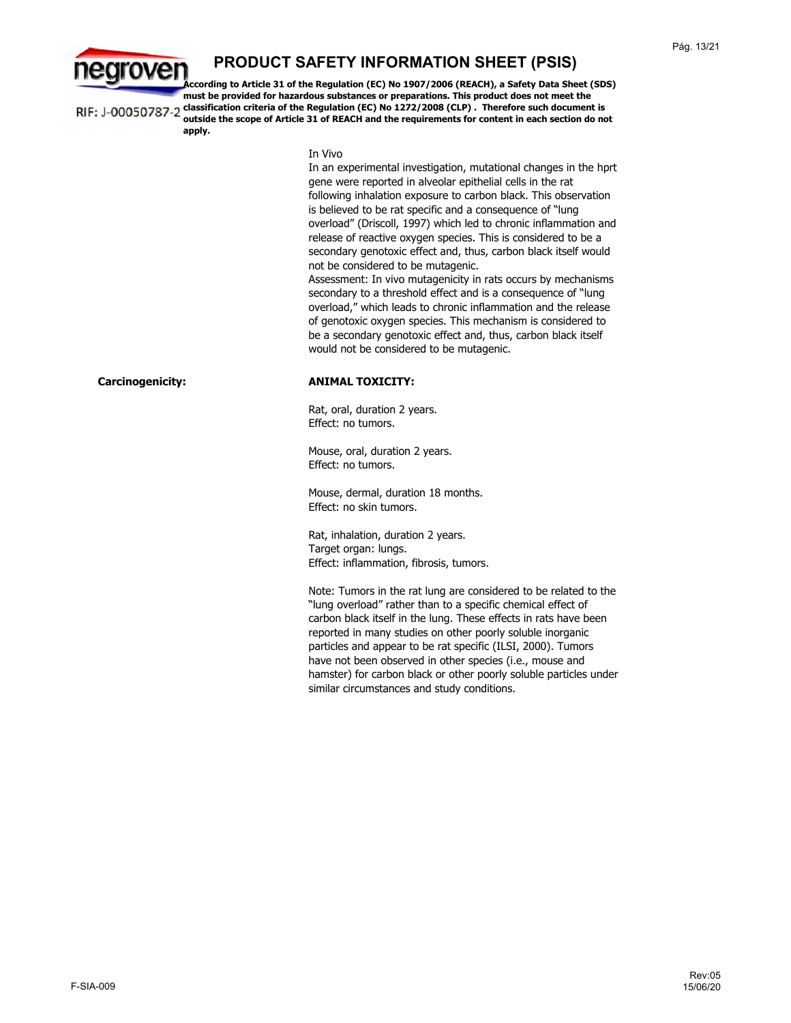

**According to Article 31 of the Regulation (EC) No 1907/2006 (REACH), a Safety Data Sheet (SDS) must be provided for hazardous substances or preparations. This product does not meet the classification criteria of the Regulation (EC) No 1272/2008 (CLP) . Therefore such document is**  RIF: J-00050787-2 **outside the scope of Article 31 of REACH and the requirements for content in each section do not apply.**

In Vivo

In an experimental investigation, mutational changes in the hprt gene were reported in alveolar epithelial cells in the rat following inhalation exposure to carbon black. This observation is believed to be rat specific and a consequence of "lung overload" (Driscoll, 1997) which led to chronic inflammation and release of reactive oxygen species. This is considered to be a secondary genotoxic effect and, thus, carbon black itself would not be considered to be mutagenic.

Assessment: In vivo mutagenicity in rats occurs by mechanisms secondary to a threshold effect and is a consequence of "lung overload," which leads to chronic inflammation and the release of genotoxic oxygen species. This mechanism is considered to be a secondary genotoxic effect and, thus, carbon black itself would not be considered to be mutagenic.

### **Carcinogenicity: ANIMAL TOXICITY:**

Rat, oral, duration 2 years. Effect: no tumors.

Mouse, oral, duration 2 years. Effect: no tumors.

Mouse, dermal, duration 18 months. Effect: no skin tumors.

Rat, inhalation, duration 2 years. Target organ: lungs. Effect: inflammation, fibrosis, tumors.

Note: Tumors in the rat lung are considered to be related to the "lung overload" rather than to a specific chemical effect of carbon black itself in the lung. These effects in rats have been reported in many studies on other poorly soluble inorganic particles and appear to be rat specific (ILSI, 2000). Tumors have not been observed in other species (i.e., mouse and hamster) for carbon black or other poorly soluble particles under similar circumstances and study conditions.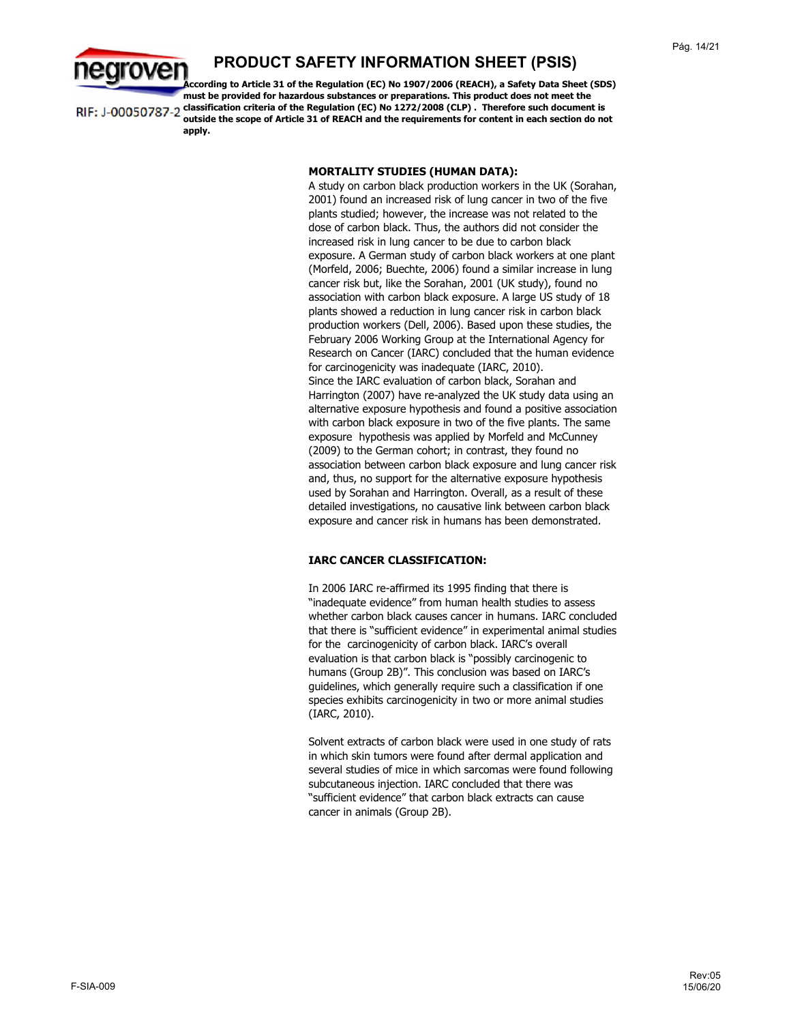

**According to Article 31 of the Regulation (EC) No 1907/2006 (REACH), a Safety Data Sheet (SDS) must be provided for hazardous substances or preparations. This product does not meet the classification criteria of the Regulation (EC) No 1272/2008 (CLP) . Therefore such document is**  RIF: J-00050787-2 **outside the scope of Article 31 of REACH and the requirements for content in each section do not apply.**

#### **MORTALITY STUDIES (HUMAN DATA):**

A study on carbon black production workers in the UK (Sorahan, 2001) found an increased risk of lung cancer in two of the five plants studied; however, the increase was not related to the dose of carbon black. Thus, the authors did not consider the increased risk in lung cancer to be due to carbon black exposure. A German study of carbon black workers at one plant (Morfeld, 2006; Buechte, 2006) found a similar increase in lung cancer risk but, like the Sorahan, 2001 (UK study), found no association with carbon black exposure. A large US study of 18 plants showed a reduction in lung cancer risk in carbon black production workers (Dell, 2006). Based upon these studies, the February 2006 Working Group at the International Agency for Research on Cancer (IARC) concluded that the human evidence for carcinogenicity was inadequate (IARC, 2010). Since the IARC evaluation of carbon black, Sorahan and Harrington (2007) have re-analyzed the UK study data using an alternative exposure hypothesis and found a positive association with carbon black exposure in two of the five plants. The same exposure hypothesis was applied by Morfeld and McCunney (2009) to the German cohort; in contrast, they found no association between carbon black exposure and lung cancer risk and, thus, no support for the alternative exposure hypothesis used by Sorahan and Harrington. Overall, as a result of these detailed investigations, no causative link between carbon black exposure and cancer risk in humans has been demonstrated.

### **IARC CANCER CLASSIFICATION:**

In 2006 IARC re-affirmed its 1995 finding that there is "inadequate evidence" from human health studies to assess whether carbon black causes cancer in humans. IARC concluded that there is "sufficient evidence" in experimental animal studies for the carcinogenicity of carbon black. IARC's overall evaluation is that carbon black is "possibly carcinogenic to humans (Group 2B)". This conclusion was based on IARC's guidelines, which generally require such a classification if one species exhibits carcinogenicity in two or more animal studies (IARC, 2010).

Solvent extracts of carbon black were used in one study of rats in which skin tumors were found after dermal application and several studies of mice in which sarcomas were found following subcutaneous injection. IARC concluded that there was "sufficient evidence" that carbon black extracts can cause cancer in animals (Group 2B).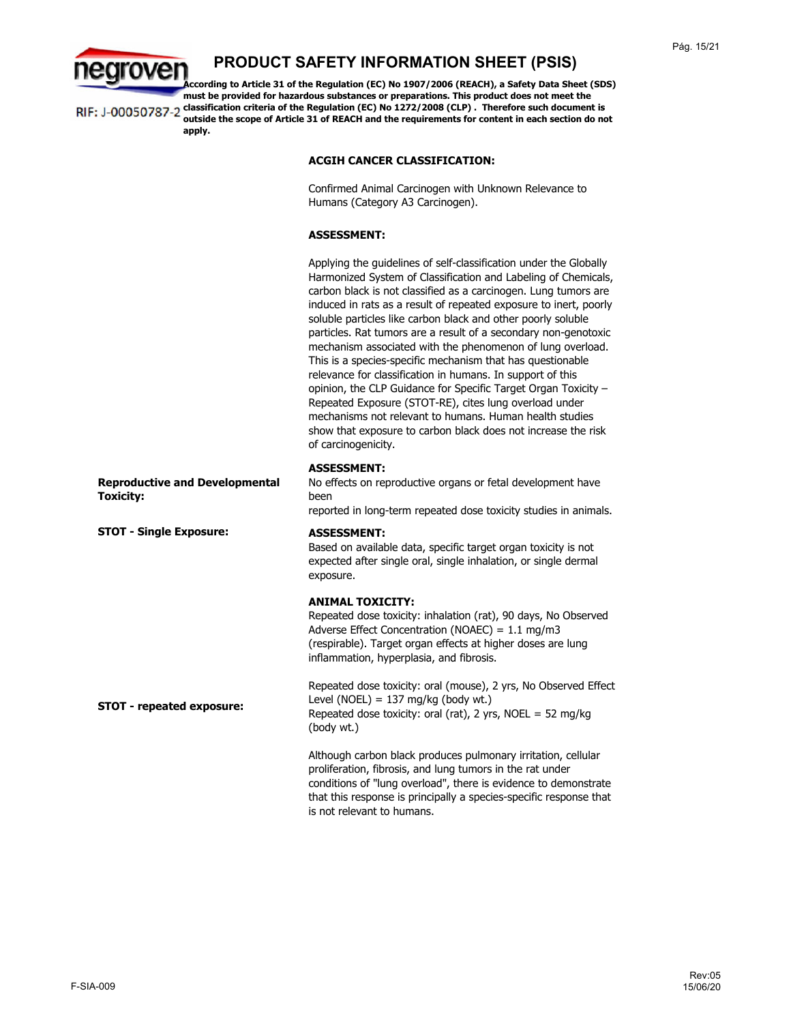

**According to Article 31 of the Regulation (EC) No 1907/2006 (REACH), a Safety Data Sheet (SDS) must be provided for hazardous substances or preparations. This product does not meet the classification criteria of the Regulation (EC) No 1272/2008 (CLP) . Therefore such document is**  RIF: J-00050787-2 **outside the scope of Article 31 of REACH and the requirements for content in each section do not apply.**

### **ACGIH CANCER CLASSIFICATION:**

Confirmed Animal Carcinogen with Unknown Relevance to Humans (Category A3 Carcinogen).

#### **ASSESSMENT:**

Applying the guidelines of self-classification under the Globally Harmonized System of Classification and Labeling of Chemicals, carbon black is not classified as a carcinogen. Lung tumors are induced in rats as a result of repeated exposure to inert, poorly soluble particles like carbon black and other poorly soluble particles. Rat tumors are a result of a secondary non-genotoxic mechanism associated with the phenomenon of lung overload. This is a species-specific mechanism that has questionable relevance for classification in humans. In support of this opinion, the CLP Guidance for Specific Target Organ Toxicity – Repeated Exposure (STOT-RE), cites lung overload under mechanisms not relevant to humans. Human health studies show that exposure to carbon black does not increase the risk of carcinogenicity.

### **ASSESSMENT:**

No effects on reproductive organs or fetal development have been

reported in long-term repeated dose toxicity studies in animals.

#### **ASSESSMENT:**

Based on available data, specific target organ toxicity is not expected after single oral, single inhalation, or single dermal exposure.

### **ANIMAL TOXICITY:**

Repeated dose toxicity: inhalation (rat), 90 days, No Observed Adverse Effect Concentration (NOAEC) = 1.1 mg/m3 (respirable). Target organ effects at higher doses are lung inflammation, hyperplasia, and fibrosis.

Repeated dose toxicity: oral (mouse), 2 yrs, No Observed Effect Level (NOEL) =  $137 \text{ mg/kg}$  (body wt.) Repeated dose toxicity: oral (rat), 2 yrs, NOEL = 52 mg/kg (body wt.)

Although carbon black produces pulmonary irritation, cellular proliferation, fibrosis, and lung tumors in the rat under conditions of "lung overload", there is evidence to demonstrate that this response is principally a species-specific response that is not relevant to humans.

**Reproductive and Developmental Toxicity:**

**STOT - Single Exposure:** 

**STOT - repeated exposure:**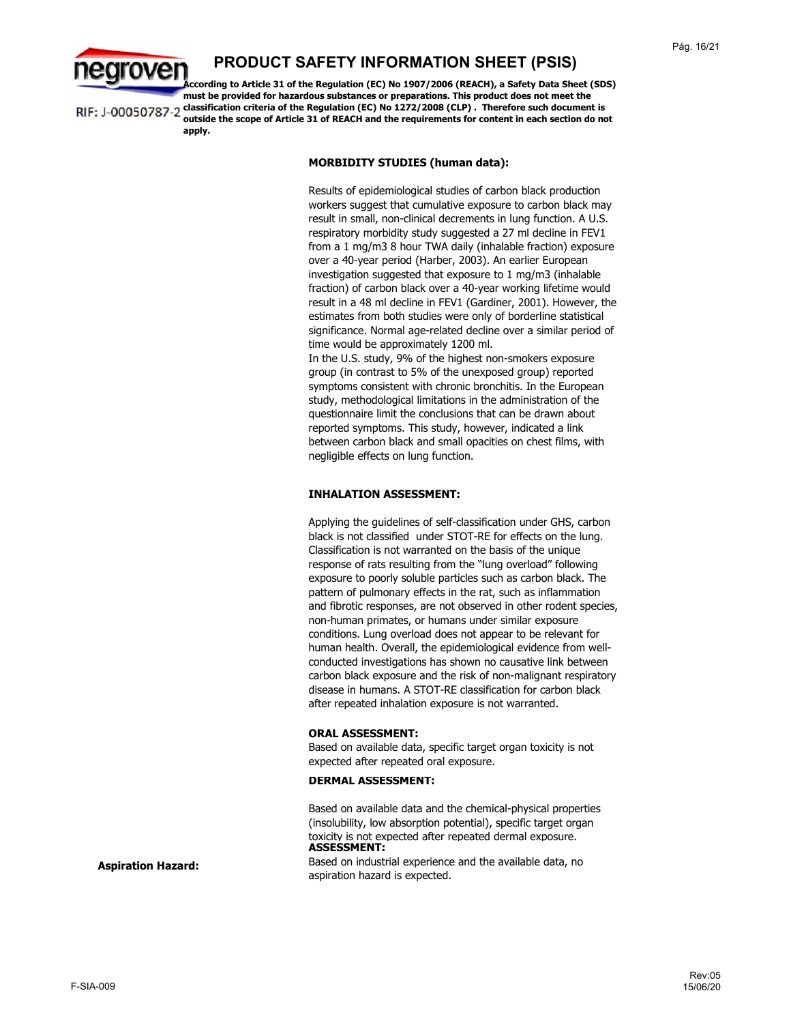

**According to Article 31 of the Regulation (EC) No 1907/2006 (REACH), a Safety Data Sheet (SDS) must be provided for hazardous substances or preparations. This product does not meet the classification criteria of the Regulation (EC) No 1272/2008 (CLP) . Therefore such document is**  RIF: J-00050787-2 **outside the scope of Article 31 of REACH and the requirements for content in each section do not apply.**

#### **MORBIDITY STUDIES (human data):**

Results of epidemiological studies of carbon black production workers suggest that cumulative exposure to carbon black may result in small, non-clinical decrements in lung function. A U.S. respiratory morbidity study suggested a 27 ml decline in FEV1 from a 1 mg/m3 8 hour TWA daily (inhalable fraction) exposure over a 40-year period (Harber, 2003). An earlier European investigation suggested that exposure to 1 mg/m3 (inhalable fraction) of carbon black over a 40-year working lifetime would result in a 48 ml decline in FEV1 (Gardiner, 2001). However, the estimates from both studies were only of borderline statistical significance. Normal age-related decline over a similar period of time would be approximately 1200 ml.

In the U.S. study, 9% of the highest non-smokers exposure group (in contrast to 5% of the unexposed group) reported symptoms consistent with chronic bronchitis. In the European study, methodological limitations in the administration of the questionnaire limit the conclusions that can be drawn about reported symptoms. This study, however, indicated a link between carbon black and small opacities on chest films, with negligible effects on lung function.

#### **INHALATION ASSESSMENT:**

Applying the guidelines of self-classification under GHS, carbon black is not classified under STOT-RE for effects on the lung. Classification is not warranted on the basis of the unique response of rats resulting from the "lung overload" following exposure to poorly soluble particles such as carbon black. The pattern of pulmonary effects in the rat, such as inflammation and fibrotic responses, are not observed in other rodent species, non-human primates, or humans under similar exposure conditions. Lung overload does not appear to be relevant for human health. Overall, the epidemiological evidence from wellconducted investigations has shown no causative link between carbon black exposure and the risk of non-malignant respiratory disease in humans. A STOT-RE classification for carbon black after repeated inhalation exposure is not warranted.

#### **ORAL ASSESSMENT:**

Based on available data, specific target organ toxicity is not expected after repeated oral exposure.

#### **DERMAL ASSESSMENT:**

**ASSESSMENT:** Based on available data and the chemical-physical properties (insolubility, low absorption potential), specific target organ toxicity is not expected after repeated dermal exposure.

Based on industrial experience and the available data, no aspiration hazard is expected.

**Aspiration Hazard:**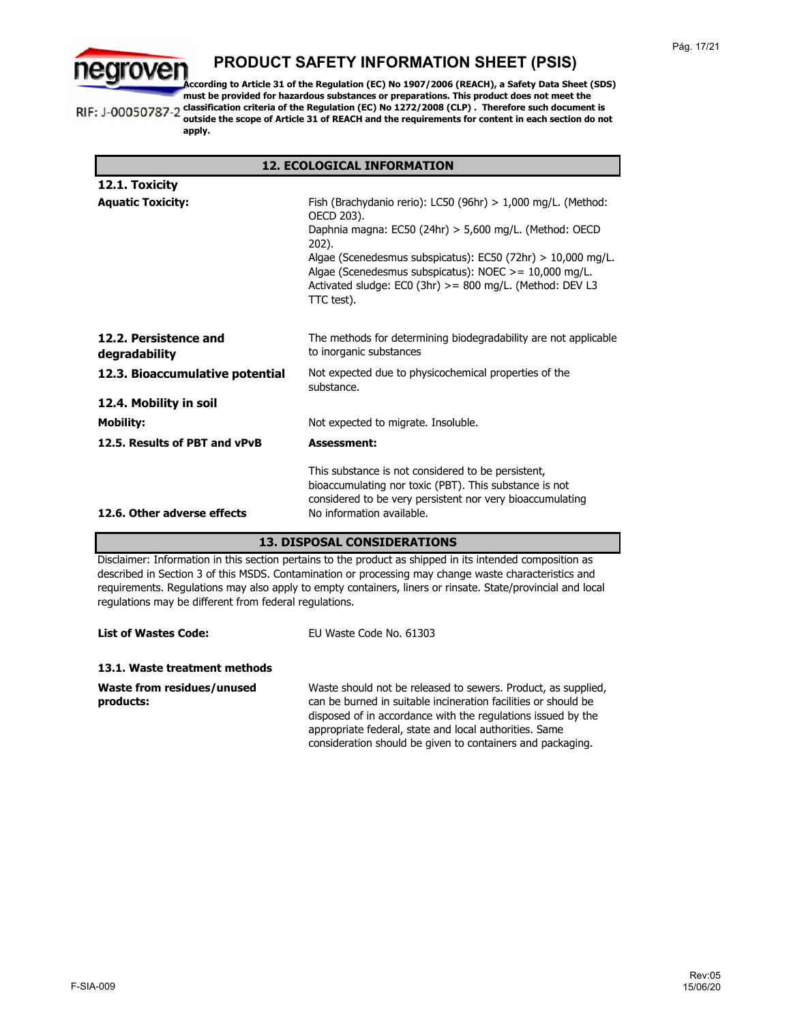

**According to Article 31 of the Regulation (EC) No 1907/2006 (REACH), a Safety Data Sheet (SDS) must be provided for hazardous substances or preparations. This product does not meet the classification criteria of the Regulation (EC) No 1272/2008 (CLP) . Therefore such document is**  RIF: J-00050787-2 **outside the scope of Article 31 of REACH and the requirements for content in each section do not apply.**

| <b>12. ECOLOGICAL INFORMATION</b>      |                                                                                                                                                                                                          |  |
|----------------------------------------|----------------------------------------------------------------------------------------------------------------------------------------------------------------------------------------------------------|--|
| 12.1. Toxicity                         |                                                                                                                                                                                                          |  |
| <b>Aquatic Toxicity:</b>               | Fish (Brachydanio rerio): LC50 (96hr) $> 1,000$ mg/L. (Method:<br>OECD 203).                                                                                                                             |  |
|                                        | Daphnia magna: EC50 (24hr) > 5,600 mg/L. (Method: OECD<br>202).                                                                                                                                          |  |
|                                        | Algae (Scenedesmus subspicatus): $EC50$ (72hr) $> 10,000$ mg/L.<br>Algae (Scenedesmus subspicatus): NOEC $> = 10,000$ mg/L.<br>Activated sludge: EC0 (3hr) $>$ = 800 mg/L. (Method: DEV L3<br>TTC test). |  |
| 12.2. Persistence and<br>degradability | The methods for determining biodegradability are not applicable<br>to inorganic substances                                                                                                               |  |
| 12.3. Bioaccumulative potential        | Not expected due to physicochemical properties of the<br>substance.                                                                                                                                      |  |
| 12.4. Mobility in soil                 |                                                                                                                                                                                                          |  |
| <b>Mobility:</b>                       | Not expected to migrate. Insoluble.                                                                                                                                                                      |  |
| 12.5. Results of PBT and vPvB          | <b>Assessment:</b>                                                                                                                                                                                       |  |
|                                        | This substance is not considered to be persistent,<br>bioaccumulating nor toxic (PBT). This substance is not<br>considered to be very persistent nor very bioaccumulating                                |  |
| 12.6. Other adverse effects            | No information available.                                                                                                                                                                                |  |

### **13. DISPOSAL CONSIDERATIONS**

Disclaimer: Information in this section pertains to the product as shipped in its intended composition as described in Section 3 of this MSDS. Contamination or processing may change waste characteristics and requirements. Regulations may also apply to empty containers, liners or rinsate. State/provincial and local regulations may be different from federal regulations.

| <b>List of Wastes Code:</b>             | EU Waste Code No. 61303                                                                                                                                                                                                                                                                                                 |
|-----------------------------------------|-------------------------------------------------------------------------------------------------------------------------------------------------------------------------------------------------------------------------------------------------------------------------------------------------------------------------|
| 13.1. Waste treatment methods           |                                                                                                                                                                                                                                                                                                                         |
| Waste from residues/unused<br>products: | Waste should not be released to sewers. Product, as supplied,<br>can be burned in suitable incineration facilities or should be<br>disposed of in accordance with the regulations issued by the<br>appropriate federal, state and local authorities. Same<br>consideration should be given to containers and packaging. |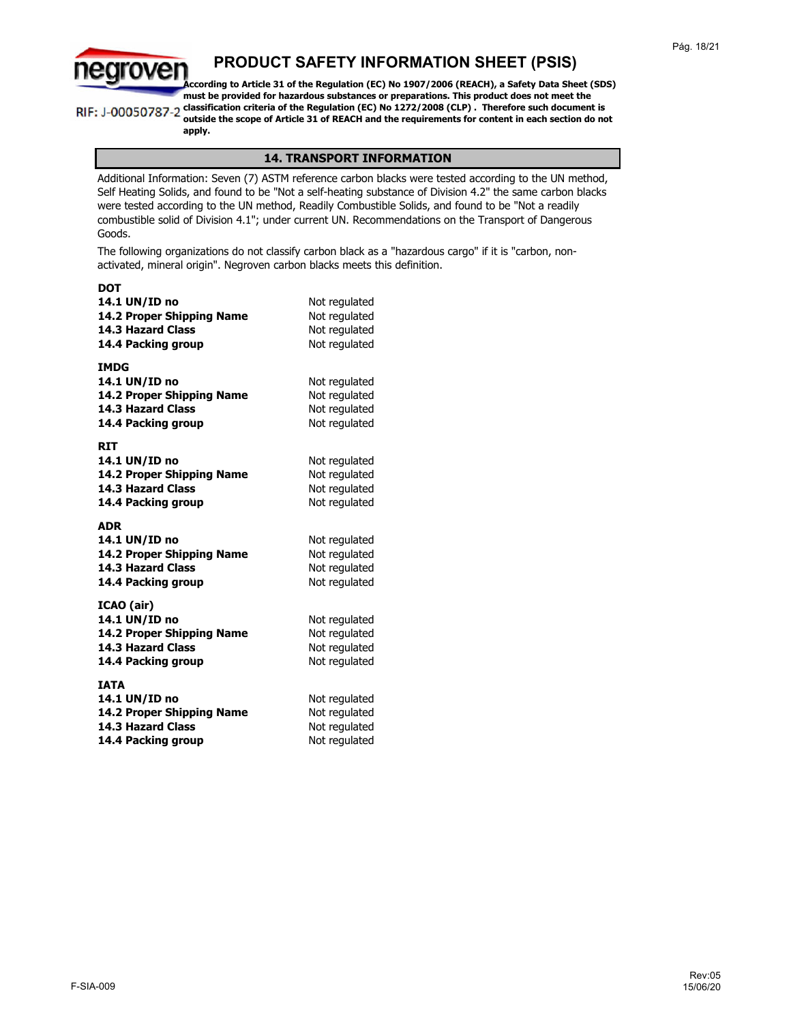

**According to Article 31 of the Regulation (EC) No 1907/2006 (REACH), a Safety Data Sheet (SDS) must be provided for hazardous substances or preparations. This product does not meet the classification criteria of the Regulation (EC) No 1272/2008 (CLP) . Therefore such document is** 

RIF: J-00050787-2

### **outside the scope of Article 31 of REACH and the requirements for content in each section do not apply.**

### **14. TRANSPORT INFORMATION**

Additional Information: Seven (7) ASTM reference carbon blacks were tested according to the UN method, Self Heating Solids, and found to be "Not a self-heating substance of Division 4.2" the same carbon blacks were tested according to the UN method, Readily Combustible Solids, and found to be "Not a readily combustible solid of Division 4.1"; under current UN. Recommendations on the Transport of Dangerous Goods.

The following organizations do not classify carbon black as a "hazardous cargo" if it is "carbon, nonactivated, mineral origin". Negroven carbon blacks meets this definition.

| <b>DOT</b><br>14.1 UN/ID no<br>14.2 Proper Shipping Name<br><b>14.3 Hazard Class</b><br>14.4 Packing group  | Not regulated<br>Not regulated<br>Not regulated<br>Not regulated |
|-------------------------------------------------------------------------------------------------------------|------------------------------------------------------------------|
| <b>IMDG</b><br>14.1 UN/ID no<br>14.2 Proper Shipping Name<br><b>14.3 Hazard Class</b><br>14.4 Packing group | Not regulated<br>Not regulated<br>Not regulated<br>Not regulated |
| RIT<br>14.1 UN/ID no<br>14.2 Proper Shipping Name<br><b>14.3 Hazard Class</b><br>14.4 Packing group         | Not regulated<br>Not regulated<br>Not regulated<br>Not regulated |
| <b>ADR</b><br>14.1 UN/ID no<br>14.2 Proper Shipping Name<br><b>14.3 Hazard Class</b><br>14.4 Packing group  | Not regulated<br>Not regulated<br>Not regulated<br>Not regulated |
| ICAO (air)<br>14.1 UN/ID no<br>14.2 Proper Shipping Name<br><b>14.3 Hazard Class</b><br>14.4 Packing group  | Not regulated<br>Not regulated<br>Not regulated<br>Not regulated |
| <b>IATA</b><br>14.1 UN/ID no<br>14.2 Proper Shipping Name<br><b>14.3 Hazard Class</b><br>14.4 Packing group | Not regulated<br>Not regulated<br>Not regulated<br>Not regulated |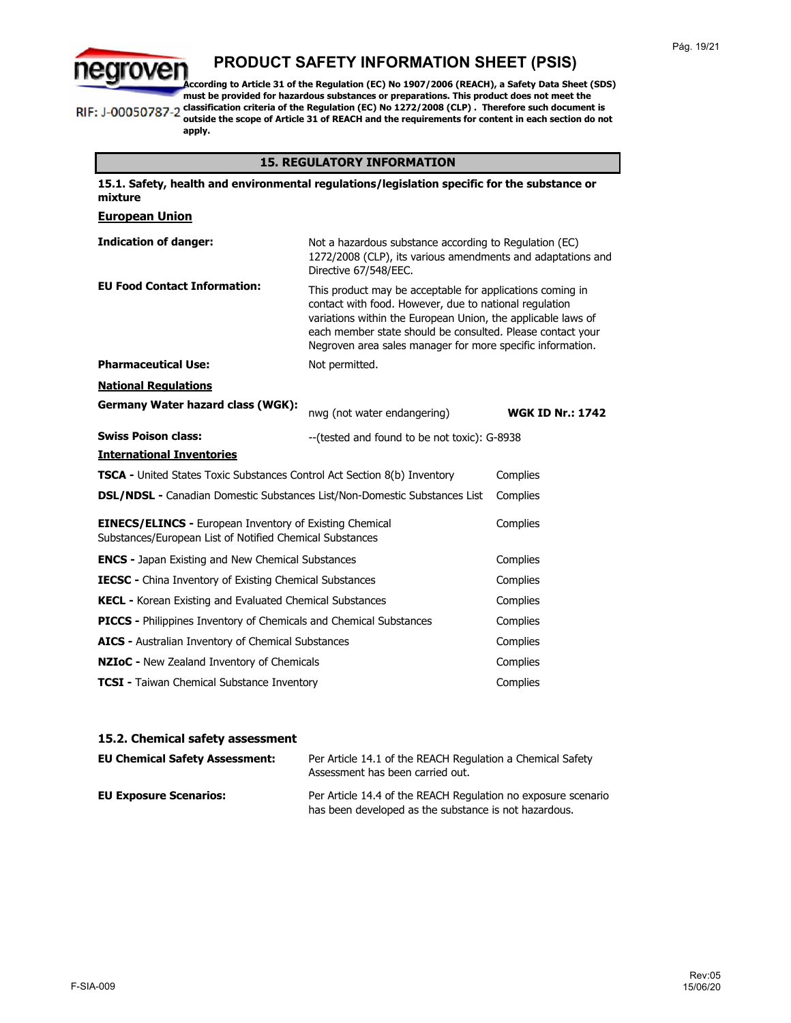

**According to Article 31 of the Regulation (EC) No 1907/2006 (REACH), a Safety Data Sheet (SDS) must be provided for hazardous substances or preparations. This product does not meet the classification criteria of the Regulation (EC) No 1272/2008 (CLP) . Therefore such document is**  RIF: J-00050787-2 **outside the scope of Article 31 of REACH and the requirements for content in each section do not apply.**

### **15. REGULATORY INFORMATION**

| 15.1. Safety, health and environmental regulations/legislation specific for the substance or<br>mixture                                |                                                                                                                                                                                                                                                                                                                 |                         |
|----------------------------------------------------------------------------------------------------------------------------------------|-----------------------------------------------------------------------------------------------------------------------------------------------------------------------------------------------------------------------------------------------------------------------------------------------------------------|-------------------------|
| <b>European Union</b>                                                                                                                  |                                                                                                                                                                                                                                                                                                                 |                         |
| <b>Indication of danger:</b>                                                                                                           | Not a hazardous substance according to Regulation (EC)<br>1272/2008 (CLP), its various amendments and adaptations and<br>Directive 67/548/EEC.                                                                                                                                                                  |                         |
| <b>EU Food Contact Information:</b>                                                                                                    | This product may be acceptable for applications coming in<br>contact with food. However, due to national regulation<br>variations within the European Union, the applicable laws of<br>each member state should be consulted. Please contact your<br>Negroven area sales manager for more specific information. |                         |
| <b>Pharmaceutical Use:</b>                                                                                                             | Not permitted.                                                                                                                                                                                                                                                                                                  |                         |
| <b>National Requlations</b>                                                                                                            |                                                                                                                                                                                                                                                                                                                 |                         |
| Germany Water hazard class (WGK):                                                                                                      | nwg (not water endangering)                                                                                                                                                                                                                                                                                     | <b>WGK ID Nr.: 1742</b> |
| <b>Swiss Poison class:</b>                                                                                                             | -- (tested and found to be not toxic): G-8938                                                                                                                                                                                                                                                                   |                         |
| <b>International Inventories</b>                                                                                                       |                                                                                                                                                                                                                                                                                                                 |                         |
| <b>TSCA -</b> United States Toxic Substances Control Act Section 8(b) Inventory<br>Complies                                            |                                                                                                                                                                                                                                                                                                                 |                         |
| <b>DSL/NDSL -</b> Canadian Domestic Substances List/Non-Domestic Substances List<br>Complies                                           |                                                                                                                                                                                                                                                                                                                 |                         |
| <b>EINECS/ELINCS - European Inventory of Existing Chemical</b><br>Complies<br>Substances/European List of Notified Chemical Substances |                                                                                                                                                                                                                                                                                                                 |                         |
| <b>ENCS - Japan Existing and New Chemical Substances</b>                                                                               |                                                                                                                                                                                                                                                                                                                 | Complies                |
| <b>IECSC</b> - China Inventory of Existing Chemical Substances                                                                         |                                                                                                                                                                                                                                                                                                                 | Complies                |
| <b>KECL - Korean Existing and Evaluated Chemical Substances</b>                                                                        |                                                                                                                                                                                                                                                                                                                 | Complies                |
| <b>PICCS - Philippines Inventory of Chemicals and Chemical Substances</b>                                                              |                                                                                                                                                                                                                                                                                                                 | Complies                |
| AICS - Australian Inventory of Chemical Substances<br>Complies                                                                         |                                                                                                                                                                                                                                                                                                                 |                         |
| NZIoC - New Zealand Inventory of Chemicals<br>Complies                                                                                 |                                                                                                                                                                                                                                                                                                                 |                         |
| <b>TCSI</b> - Taiwan Chemical Substance Inventory<br>Complies                                                                          |                                                                                                                                                                                                                                                                                                                 |                         |

### **15.2. Chemical safety assessment**

| <b>EU Chemical Safety Assessment:</b> | Per Article 14.1 of the REACH Regulation a Chemical Safety<br>Assessment has been carried out.                         |
|---------------------------------------|------------------------------------------------------------------------------------------------------------------------|
| <b>EU Exposure Scenarios:</b>         | Per Article 14.4 of the REACH Regulation no exposure scenario<br>has been developed as the substance is not hazardous. |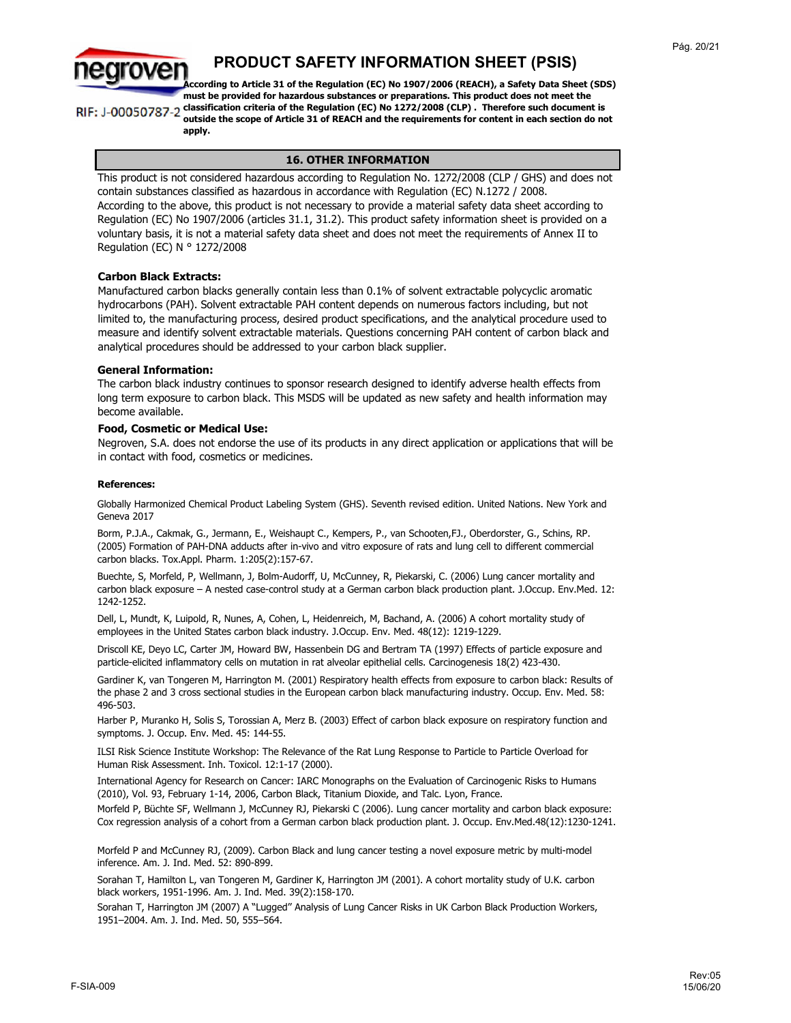

**According to Article 31 of the Regulation (EC) No 1907/2006 (REACH), a Safety Data Sheet (SDS) must be provided for hazardous substances or preparations. This product does not meet the classification criteria of the Regulation (EC) No 1272/2008 (CLP) . Therefore such document is**  RIF: J-00050787-2 **outside the scope of Article 31 of REACH and the requirements for content in each section do not apply.**

#### **16. OTHER INFORMATION**

This product is not considered hazardous according to Regulation No. 1272/2008 (CLP / GHS) and does not contain substances classified as hazardous in accordance with Regulation (EC) N.1272 / 2008. According to the above, this product is not necessary to provide a material safety data sheet according to Regulation (EC) No 1907/2006 (articles 31.1, 31.2). This product safety information sheet is provided on a voluntary basis, it is not a material safety data sheet and does not meet the requirements of Annex II to Regulation (EC) N ° 1272/2008

#### **Carbon Black Extracts:**

Manufactured carbon blacks generally contain less than 0.1% of solvent extractable polycyclic aromatic hydrocarbons (PAH). Solvent extractable PAH content depends on numerous factors including, but not limited to, the manufacturing process, desired product specifications, and the analytical procedure used to measure and identify solvent extractable materials. Questions concerning PAH content of carbon black and analytical procedures should be addressed to your carbon black supplier.

#### **General Information:**

The carbon black industry continues to sponsor research designed to identify adverse health effects from long term exposure to carbon black. This MSDS will be updated as new safety and health information may become available.

#### **Food, Cosmetic or Medical Use:**

Negroven, S.A. does not endorse the use of its products in any direct application or applications that will be in contact with food, cosmetics or medicines.

#### **References:**

Globally Harmonized Chemical Product Labeling System (GHS). Seventh revised edition. United Nations. New York and Geneva 2017

Borm, P.J.A., Cakmak, G., Jermann, E., Weishaupt C., Kempers, P., van Schooten,FJ., Oberdorster, G., Schins, RP. (2005) Formation of PAH-DNA adducts after in-vivo and vitro exposure of rats and lung cell to different commercial carbon blacks. Tox.Appl. Pharm. 1:205(2):157-67.

Buechte, S, Morfeld, P, Wellmann, J, Bolm-Audorff, U, McCunney, R, Piekarski, C. (2006) Lung cancer mortality and carbon black exposure – A nested case-control study at a German carbon black production plant. J.Occup. Env.Med. 12: 1242-1252.

Dell, L, Mundt, K, Luipold, R, Nunes, A, Cohen, L, Heidenreich, M, Bachand, A. (2006) A cohort mortality study of employees in the United States carbon black industry. J.Occup. Env. Med. 48(12): 1219-1229.

Driscoll KE, Deyo LC, Carter JM, Howard BW, Hassenbein DG and Bertram TA (1997) Effects of particle exposure and particle-elicited inflammatory cells on mutation in rat alveolar epithelial cells. Carcinogenesis 18(2) 423-430.

Gardiner K, van Tongeren M, Harrington M. (2001) Respiratory health effects from exposure to carbon black: Results of the phase 2 and 3 cross sectional studies in the European carbon black manufacturing industry. Occup. Env. Med. 58: 496-503.

Harber P, Muranko H, Solis S, Torossian A, Merz B. (2003) Effect of carbon black exposure on respiratory function and symptoms. J. Occup. Env. Med. 45: 144-55.

ILSI Risk Science Institute Workshop: The Relevance of the Rat Lung Response to Particle to Particle Overload for Human Risk Assessment. Inh. Toxicol. 12:1-17 (2000).

International Agency for Research on Cancer: IARC Monographs on the Evaluation of Carcinogenic Risks to Humans (2010), Vol. 93, February 1-14, 2006, Carbon Black, Titanium Dioxide, and Talc. Lyon, France.

Morfeld P, Büchte SF, Wellmann J, McCunney RJ, Piekarski C (2006). Lung cancer mortality and carbon black exposure: Cox regression analysis of a cohort from a German carbon black production plant. J. Occup. Env.Med.48(12):1230-1241.

Morfeld P and McCunney RJ, (2009). Carbon Black and lung cancer testing a novel exposure metric by multi-model inference. Am. J. Ind. Med. 52: 890-899.

Sorahan T, Hamilton L, van Tongeren M, Gardiner K, Harrington JM (2001). A cohort mortality study of U.K. carbon black workers, 1951-1996. Am. J. Ind. Med. 39(2):158-170.

Sorahan T, Harrington JM (2007) A ''Lugged'' Analysis of Lung Cancer Risks in UK Carbon Black Production Workers, 1951–2004. Am. J. Ind. Med. 50, 555–564.